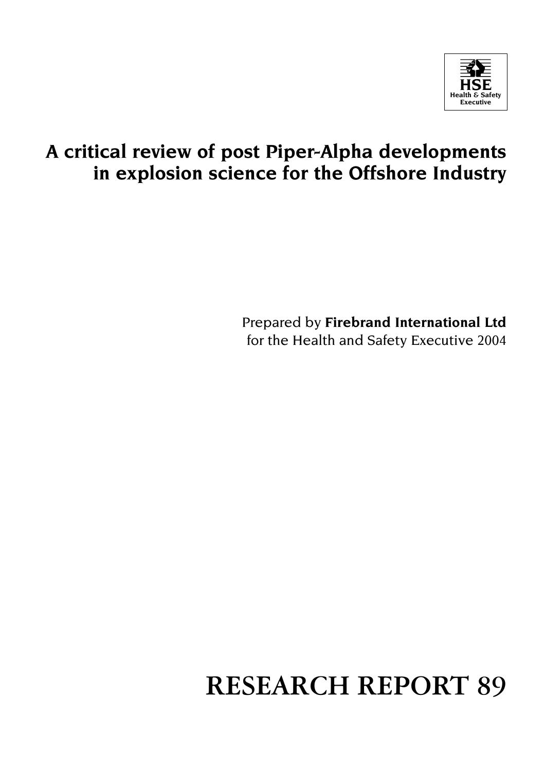

# **A critical review of post Piper-Alpha developments in explosion science for the Offshore Industry**

Prepared by **Firebrand International Ltd**  for the Health and Safety Executive 2004

# **RESEARCH REPORT 89**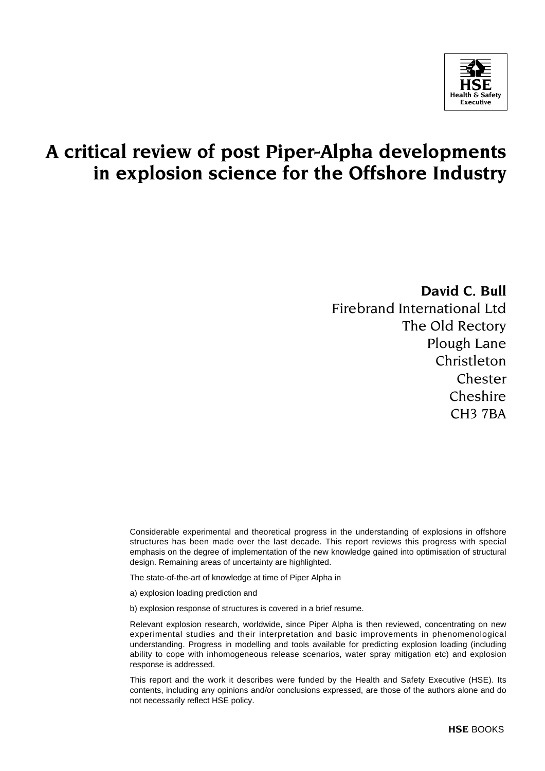

# **A critical review of post Piper-Alpha developments in explosion science for the Offshore Industry**

**David C. Bull** 

Firebrand International Ltd The Old Rectory Plough Lane Christleton Chester Cheshire CH3 7BA

Considerable experimental and theoretical progress in the understanding of explosions in offshore structures has been made over the last decade. This report reviews this progress with special emphasis on the degree of implementation of the new knowledge gained into optimisation of structural design. Remaining areas of uncertainty are highlighted.

The state-of-the-art of knowledge at time of Piper Alpha in

a) explosion loading prediction and

b) explosion response of structures is covered in a brief resume.

Relevant explosion research, worldwide, since Piper Alpha is then reviewed, concentrating on new experimental studies and their interpretation and basic improvements in phenomenological understanding. Progress in modelling and tools available for predicting explosion loading (including ability to cope with inhomogeneous release scenarios, water spray mitigation etc) and explosion response is addressed.

This report and the work it describes were funded by the Health and Safety Executive (HSE). Its contents, including any opinions and/or conclusions expressed, are those of the authors alone and do not necessarily reflect HSE policy.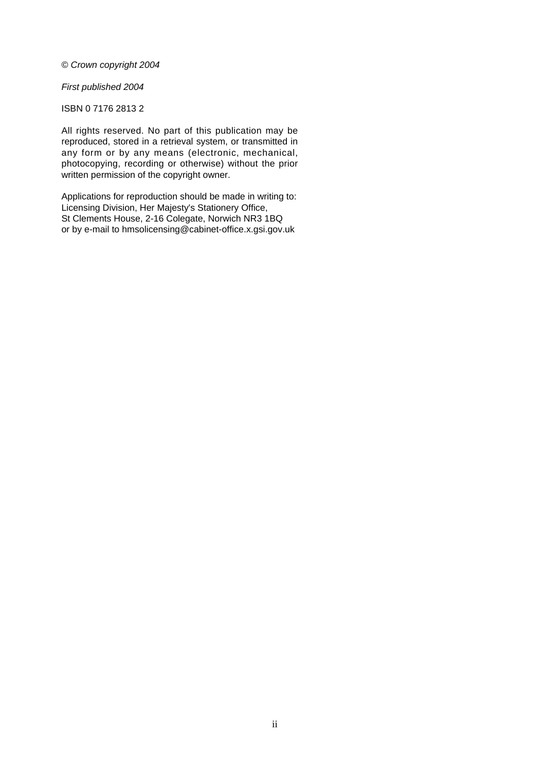#### © Crown copyright 2004

#### First published 2004

#### ISBN 0 7176 2813 2

All rights reserved. No part of this publication may be reproduced, stored in a retrieval system, or transmitted in any form or by any means (electronic, mechanical, photocopying, recording or otherwise) without the prior written permission of the copyright owner.

Applications for reproduction should be made in writing to: Licensing Division, Her Majesty's Stationery Office, St Clements House, 2-16 Colegate, Norwich NR3 1BQ or by e-mail to hmsolicensing@cabinet-office.x.gsi.gov.uk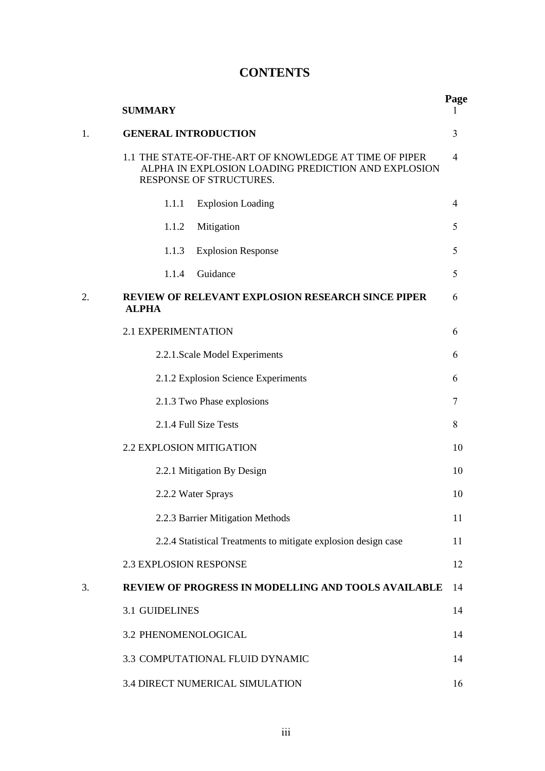# **CONTENTS**

|    | <b>SUMMARY</b>                                                                                                                           | Page           |
|----|------------------------------------------------------------------------------------------------------------------------------------------|----------------|
| 1. | <b>GENERAL INTRODUCTION</b>                                                                                                              | 3              |
|    | 1.1 THE STATE-OF-THE-ART OF KNOWLEDGE AT TIME OF PIPER<br>ALPHA IN EXPLOSION LOADING PREDICTION AND EXPLOSION<br>RESPONSE OF STRUCTURES. | $\overline{4}$ |
|    | <b>Explosion Loading</b><br>1.1.1                                                                                                        | $\overline{4}$ |
|    | 1.1.2<br>Mitigation                                                                                                                      | 5              |
|    | 1.1.3<br><b>Explosion Response</b>                                                                                                       | 5              |
|    | Guidance<br>1.1.4                                                                                                                        | 5              |
| 2. | REVIEW OF RELEVANT EXPLOSION RESEARCH SINCE PIPER<br><b>ALPHA</b>                                                                        | 6              |
|    | 2.1 EXPERIMENTATION                                                                                                                      | 6              |
|    | 2.2.1. Scale Model Experiments                                                                                                           | 6              |
|    | 2.1.2 Explosion Science Experiments                                                                                                      | 6              |
|    | 2.1.3 Two Phase explosions                                                                                                               | 7              |
|    | 2.1.4 Full Size Tests                                                                                                                    | 8              |
|    | 2.2 EXPLOSION MITIGATION                                                                                                                 | 10             |
|    | 2.2.1 Mitigation By Design                                                                                                               | 10             |
|    | 2.2.2 Water Sprays                                                                                                                       | 10             |
|    | 2.2.3 Barrier Mitigation Methods                                                                                                         | 11             |
|    | 2.2.4 Statistical Treatments to mitigate explosion design case                                                                           | 11             |
|    | <b>2.3 EXPLOSION RESPONSE</b>                                                                                                            | 12             |
| 3. | <b>REVIEW OF PROGRESS IN MODELLING AND TOOLS AVAILABLE</b>                                                                               | 14             |
|    | <b>3.1 GUIDELINES</b>                                                                                                                    | 14             |
|    | 3.2 PHENOMENOLOGICAL                                                                                                                     | 14             |
|    | 3.3 COMPUTATIONAL FLUID DYNAMIC                                                                                                          | 14             |
|    | 3.4 DIRECT NUMERICAL SIMULATION                                                                                                          | 16             |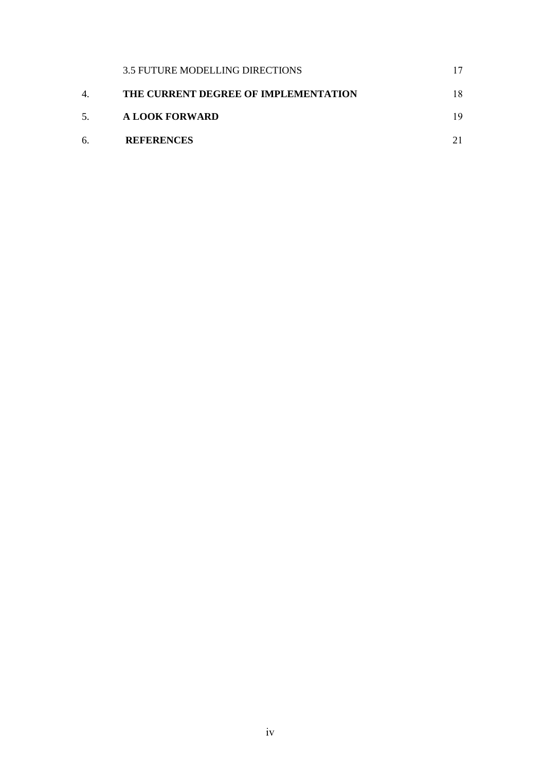|    | 3.5 FUTURE MODELLING DIRECTIONS      |    |
|----|--------------------------------------|----|
| 4. | THE CURRENT DEGREE OF IMPLEMENTATION | 18 |
| 5. | A LOOK FORWARD                       | 19 |
| б. | <b>REFERENCES</b>                    |    |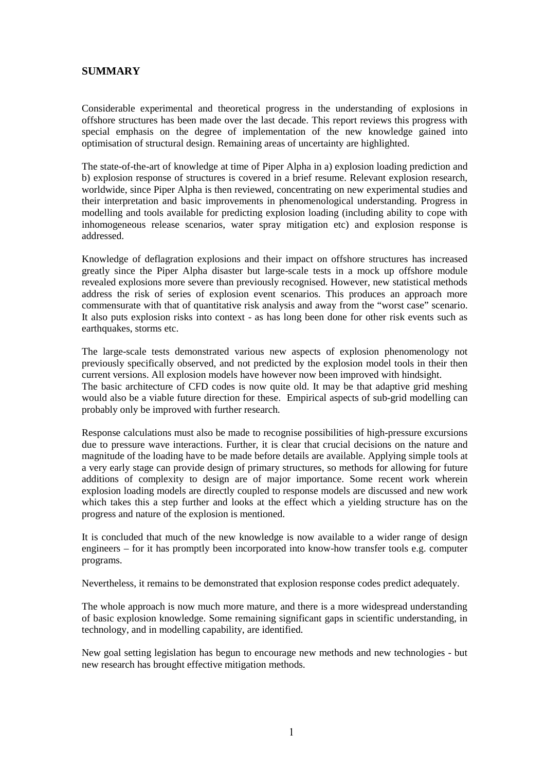## **SUMMARY**

Considerable experimental and theoretical progress in the understanding of explosions in offshore structures has been made over the last decade. This report reviews this progress with special emphasis on the degree of implementation of the new knowledge gained into optimisation of structural design. Remaining areas of uncertainty are highlighted.

The state-of-the-art of knowledge at time of Piper Alpha in a) explosion loading prediction and b) explosion response of structures is covered in a brief resume. Relevant explosion research, worldwide, since Piper Alpha is then reviewed, concentrating on new experimental studies and their interpretation and basic improvements in phenomenological understanding. Progress in modelling and tools available for predicting explosion loading (including ability to cope with inhomogeneous release scenarios, water spray mitigation etc) and explosion response is addressed.

Knowledge of deflagration explosions and their impact on offshore structures has increased greatly since the Piper Alpha disaster but large-scale tests in a mock up offshore module revealed explosions more severe than previously recognised. However, new statistical methods address the risk of series of explosion event scenarios. This produces an approach more commensurate with that of quantitative risk analysis and away from the "worst case" scenario. It also puts explosion risks into context - as has long been done for other risk events such as earthquakes, storms etc.

The large-scale tests demonstrated various new aspects of explosion phenomenology not previously specifically observed, and not predicted by the explosion model tools in their then current versions. All explosion models have however now been improved with hindsight. The basic architecture of CFD codes is now quite old. It may be that adaptive grid meshing would also be a viable future direction for these. Empirical aspects of sub-grid modelling can probably only be improved with further research.

Response calculations must also be made to recognise possibilities of high-pressure excursions due to pressure wave interactions. Further, it is clear that crucial decisions on the nature and magnitude of the loading have to be made before details are available. Applying simple tools at a very early stage can provide design of primary structures, so methods for allowing for future additions of complexity to design are of major importance. Some recent work wherein explosion loading models are directly coupled to response models are discussed and new work which takes this a step further and looks at the effect which a yielding structure has on the progress and nature of the explosion is mentioned.

It is concluded that much of the new knowledge is now available to a wider range of design engineers – for it has promptly been incorporated into know-how transfer tools e.g. computer programs.

Nevertheless, it remains to be demonstrated that explosion response codes predict adequately.

The whole approach is now much more mature, and there is a more widespread understanding of basic explosion knowledge. Some remaining significant gaps in scientific understanding, in technology, and in modelling capability, are identified.

New goal setting legislation has begun to encourage new methods and new technologies - but new research has brought effective mitigation methods.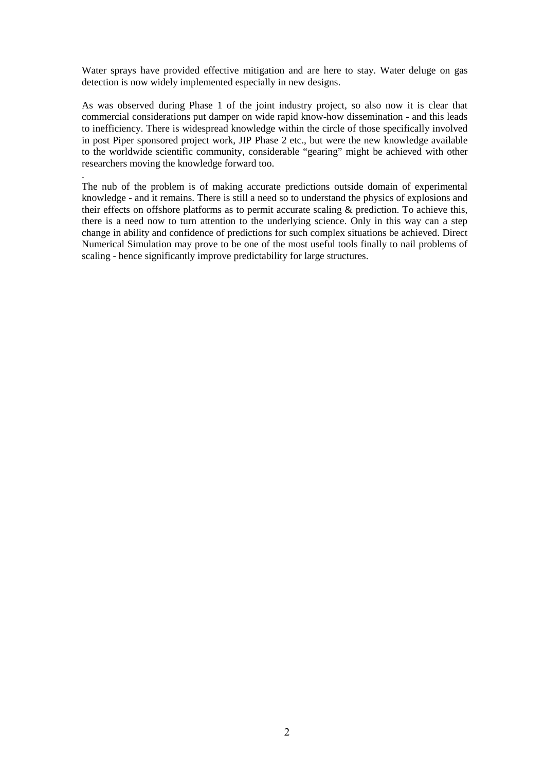Water sprays have provided effective mitigation and are here to stay. Water deluge on gas detection is now widely implemented especially in new designs.

As was observed during Phase 1 of the joint industry project, so also now it is clear that commercial considerations put damper on wide rapid know-how dissemination - and this leads to inefficiency. There is widespread knowledge within the circle of those specifically involved in post Piper sponsored project work, JIP Phase 2 etc., but were the new knowledge available to the worldwide scientific community, considerable "gearing" might be achieved with other researchers moving the knowledge forward too.

.

The nub of the problem is of making accurate predictions outside domain of experimental knowledge - and it remains. There is still a need so to understand the physics of explosions and their effects on offshore platforms as to permit accurate scaling & prediction. To achieve this, there is a need now to turn attention to the underlying science. Only in this way can a step change in ability and confidence of predictions for such complex situations be achieved. Direct Numerical Simulation may prove to be one of the most useful tools finally to nail problems of scaling - hence significantly improve predictability for large structures.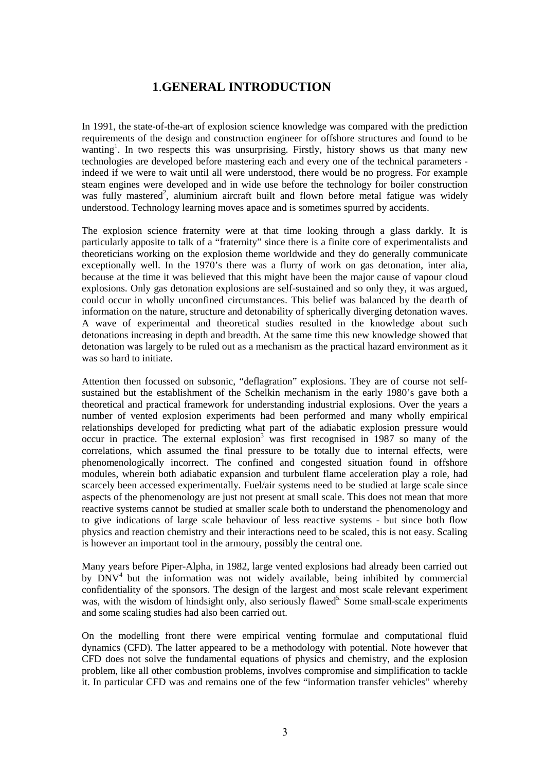# **1**.**GENERAL INTRODUCTION**

In 1991, the state-of-the-art of explosion science knowledge was compared with the prediction requirements of the design and construction engineer for offshore structures and found to be wanting<sup>1</sup>. In two respects this was unsurprising. Firstly, history shows us that many new technologies are developed before mastering each and every one of the technical parameters indeed if we were to wait until all were understood, there would be no progress. For example steam engines were developed and in wide use before the technology for boiler construction was fully mastered<sup>2</sup>, aluminium aircraft built and flown before metal fatigue was widely understood. Technology learning moves apace and is sometimes spurred by accidents.

The explosion science fraternity were at that time looking through a glass darkly. It is particularly apposite to talk of a "fraternity" since there is a finite core of experimentalists and theoreticians working on the explosion theme worldwide and they do generally communicate exceptionally well. In the 1970's there was a flurry of work on gas detonation, inter alia, because at the time it was believed that this might have been the major cause of vapour cloud explosions. Only gas detonation explosions are self-sustained and so only they, it was argued, could occur in wholly unconfined circumstances. This belief was balanced by the dearth of information on the nature, structure and detonability of spherically diverging detonation waves. A wave of experimental and theoretical studies resulted in the knowledge about such detonations increasing in depth and breadth. At the same time this new knowledge showed that detonation was largely to be ruled out as a mechanism as the practical hazard environment as it was so hard to initiate.

Attention then focussed on subsonic, "deflagration" explosions. They are of course not selfsustained but the establishment of the Schelkin mechanism in the early 1980's gave both a theoretical and practical framework for understanding industrial explosions. Over the years a number of vented explosion experiments had been performed and many wholly empirical relationships developed for predicting what part of the adiabatic explosion pressure would occur in practice. The external explosion<sup>3</sup> was first recognised in 1987 so many of the correlations, which assumed the final pressure to be totally due to internal effects, were phenomenologically incorrect. The confined and congested situation found in offshore modules, wherein both adiabatic expansion and turbulent flame acceleration play a role, had scarcely been accessed experimentally. Fuel/air systems need to be studied at large scale since aspects of the phenomenology are just not present at small scale. This does not mean that more reactive systems cannot be studied at smaller scale both to understand the phenomenology and to give indications of large scale behaviour of less reactive systems - but since both flow physics and reaction chemistry and their interactions need to be scaled, this is not easy. Scaling is however an important tool in the armoury, possibly the central one.

Many years before Piper-Alpha, in 1982, large vented explosions had already been carried out by DNV<sup>4</sup> but the information was not widely available, being inhibited by commercial confidentiality of the sponsors. The design of the largest and most scale relevant experiment was, with the wisdom of hindsight only, also seriously flawed<sup>5.</sup> Some small-scale experiments and some scaling studies had also been carried out.

On the modelling front there were empirical venting formulae and computational fluid dynamics (CFD). The latter appeared to be a methodology with potential. Note however that CFD does not solve the fundamental equations of physics and chemistry, and the explosion problem, like all other combustion problems, involves compromise and simplification to tackle it. In particular CFD was and remains one of the few "information transfer vehicles" whereby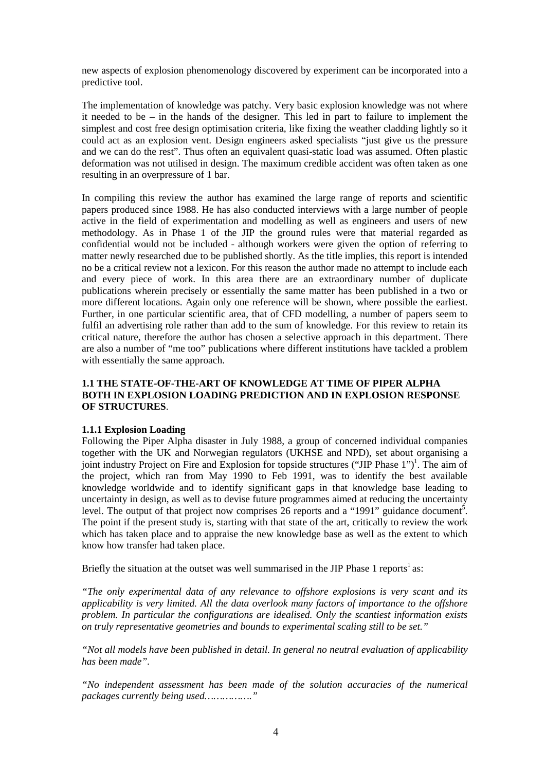new aspects of explosion phenomenology discovered by experiment can be incorporated into a predictive tool.

The implementation of knowledge was patchy. Very basic explosion knowledge was not where it needed to be – in the hands of the designer. This led in part to failure to implement the simplest and cost free design optimisation criteria, like fixing the weather cladding lightly so it could act as an explosion vent. Design engineers asked specialists "just give us the pressure and we can do the rest". Thus often an equivalent quasi-static load was assumed. Often plastic deformation was not utilised in design. The maximum credible accident was often taken as one resulting in an overpressure of 1 bar.

In compiling this review the author has examined the large range of reports and scientific papers produced since 1988. He has also conducted interviews with a large number of people active in the field of experimentation and modelling as well as engineers and users of new methodology. As in Phase 1 of the JIP the ground rules were that material regarded as confidential would not be included - although workers were given the option of referring to matter newly researched due to be published shortly. As the title implies, this report is intended no be a critical review not a lexicon. For this reason the author made no attempt to include each and every piece of work. In this area there are an extraordinary number of duplicate publications wherein precisely or essentially the same matter has been published in a two or more different locations. Again only one reference will be shown, where possible the earliest. Further, in one particular scientific area, that of CFD modelling, a number of papers seem to fulfil an advertising role rather than add to the sum of knowledge. For this review to retain its critical nature, therefore the author has chosen a selective approach in this department. There are also a number of "me too" publications where different institutions have tackled a problem with essentially the same approach.

#### **1.1 THE STATE-OF-THE-ART OF KNOWLEDGE AT TIME OF PIPER ALPHA BOTH IN EXPLOSION LOADING PREDICTION AND IN EXPLOSION RESPONSE OF STRUCTURES**.

#### **1.1.1 Explosion Loading**

Following the Piper Alpha disaster in July 1988, a group of concerned individual companies together with the UK and Norwegian regulators (UKHSE and NPD), set about organising a joint industry Project on Fire and Explosion for topside structures ("JIP Phase 1")<sup>1</sup>. The aim of the project, which ran from May 1990 to Feb 1991, was to identify the best available knowledge worldwide and to identify significant gaps in that knowledge base leading to uncertainty in design, as well as to devise future programmes aimed at reducing the uncertainty level. The output of that project now comprises  $26$  reports and a "1991" guidance document<sup>5</sup>. The point if the present study is, starting with that state of the art, critically to review the work which has taken place and to appraise the new knowledge base as well as the extent to which know how transfer had taken place.

Briefly the situation at the outset was well summarised in the JIP Phase 1 reports<sup>1</sup> as:

*"The only experimental data of any relevance to offshore explosions is very scant and its applicability is very limited. All the data overlook many factors of importance to the offshore problem. In particular the configurations are idealised. Only the scantiest information exists on truly representative geometries and bounds to experimental scaling still to be set."* 

*"Not all models have been published in detail. In general no neutral evaluation of applicability has been made".* 

*"No independent assessment has been made of the solution accuracies of the numerical packages currently being used……………."*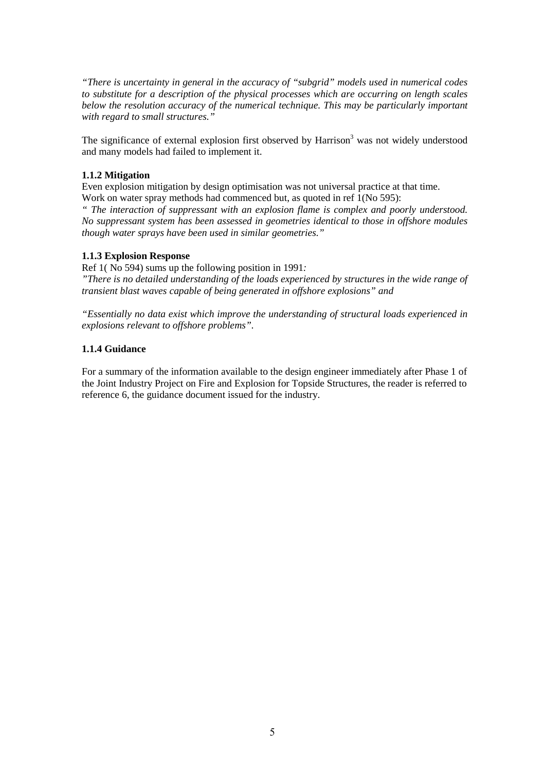*"There is uncertainty in general in the accuracy of "subgrid" models used in numerical codes to substitute for a description of the physical processes which are occurring on length scales below the resolution accuracy of the numerical technique. This may be particularly important with regard to small structures."* 

The significance of external explosion first observed by Harrison<sup>3</sup> was not widely understood and many models had failed to implement it.

#### **1.1.2 Mitigation**

Even explosion mitigation by design optimisation was not universal practice at that time. Work on water spray methods had commenced but, as quoted in ref 1(No 595):

*" The interaction of suppressant with an explosion flame is complex and poorly understood. No suppressant system has been assessed in geometries identical to those in offshore modules though water sprays have been used in similar geometries."* 

#### **1.1.3 Explosion Response**

Ref 1( No 594) sums up the following position in 1991*:* 

*"There is no detailed understanding of the loads experienced by structures in the wide range of transient blast waves capable of being generated in offshore explosions" and* 

*"Essentially no data exist which improve the understanding of structural loads experienced in explosions relevant to offshore problems".* 

#### **1.1.4 Guidance**

For a summary of the information available to the design engineer immediately after Phase 1 of the Joint Industry Project on Fire and Explosion for Topside Structures, the reader is referred to reference 6, the guidance document issued for the industry.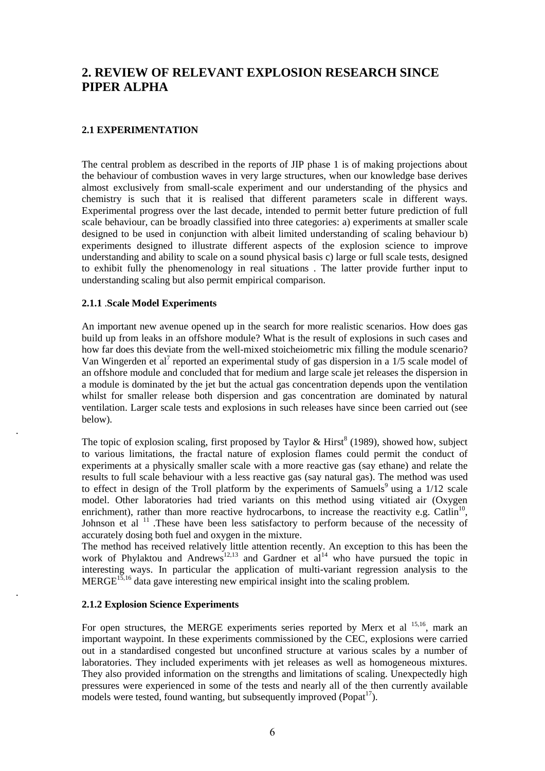# **2. REVIEW OF RELEVANT EXPLOSION RESEARCH SINCE PIPER ALPHA**

#### **2.1 EXPERIMENTATION**

The central problem as described in the reports of JIP phase 1 is of making projections about the behaviour of combustion waves in very large structures, when our knowledge base derives almost exclusively from small-scale experiment and our understanding of the physics and chemistry is such that it is realised that different parameters scale in different ways. Experimental progress over the last decade, intended to permit better future prediction of full scale behaviour, can be broadly classified into three categories: a) experiments at smaller scale designed to be used in conjunction with albeit limited understanding of scaling behaviour b) experiments designed to illustrate different aspects of the explosion science to improve understanding and ability to scale on a sound physical basis c) large or full scale tests, designed to exhibit fully the phenomenology in real situations . The latter provide further input to understanding scaling but also permit empirical comparison.

#### **2.1.1** .**Scale Model Experiments**

.

.

An important new avenue opened up in the search for more realistic scenarios. How does gas build up from leaks in an offshore module? What is the result of explosions in such cases and how far does this deviate from the well-mixed stoicheiometric mix filling the module scenario? Van Wingerden et al<sup>7</sup> reported an experimental study of gas dispersion in a  $1/5$  scale model of an offshore module and concluded that for medium and large scale jet releases the dispersion in a module is dominated by the jet but the actual gas concentration depends upon the ventilation whilst for smaller release both dispersion and gas concentration are dominated by natural ventilation. Larger scale tests and explosions in such releases have since been carried out (see below).

The topic of explosion scaling, first proposed by Taylor & Hirst<sup>8</sup> (1989), showed how, subject to various limitations, the fractal nature of explosion flames could permit the conduct of experiments at a physically smaller scale with a more reactive gas (say ethane) and relate the results to full scale behaviour with a less reactive gas (say natural gas). The method was used to effect in design of the Troll platform by the experiments of Samuels<sup>9</sup> using a  $1/12$  scale model. Other laboratories had tried variants on this method using vitiated air (Oxygen enrichment), rather than more reactive hydrocarbons, to increase the reactivity e.g. Catlin<sup>10</sup>, Johnson et al <sup>11</sup>. These have been less satisfactory to perform because of the necessity of accurately dosing both fuel and oxygen in the mixture.

The method has received relatively little attention recently. An exception to this has been the work of Phylaktou and Andrews<sup>12,13</sup> and Gardner et  $al^{14}$  who have pursued the topic in interesting ways. In particular the application of multi-variant regression analysis to the  $MERGE<sup>15,16</sup>$  data gave interesting new empirical insight into the scaling problem.

#### **2.1.2 Explosion Science Experiments**

For open structures, the MERGE experiments series reported by Merx et al <sup>15,16</sup>, mark an important waypoint. In these experiments commissioned by the CEC, explosions were carried out in a standardised congested but unconfined structure at various scales by a number of laboratories. They included experiments with jet releases as well as homogeneous mixtures. They also provided information on the strengths and limitations of scaling. Unexpectedly high pressures were experienced in some of the tests and nearly all of the then currently available models were tested, found wanting, but subsequently improved ( $P$ opat<sup>17</sup>).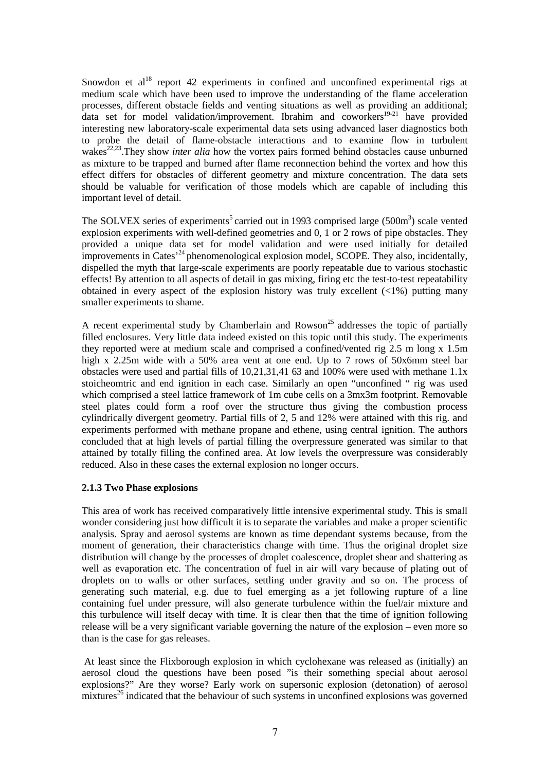Snowdon et al<sup>18</sup> report 42 experiments in confined and unconfined experimental rigs at medium scale which have been used to improve the understanding of the flame acceleration processes, different obstacle fields and venting situations as well as providing an additional;  $\frac{1}{4}$  data set for model validation/improvement. Ibrahim and coworkers<sup>19-21</sup> have provided interesting new laboratory-scale experimental data sets using advanced laser diagnostics both to probe the detail of flame-obstacle interactions and to examine flow in turbulent wakes<sup>22,23</sup>. They show *inter alia* how the vortex pairs formed behind obstacles cause unburned as mixture to be trapped and burned after flame reconnection behind the vortex and how this effect differs for obstacles of different geometry and mixture concentration. The data sets should be valuable for verification of those models which are capable of including this important level of detail.

The SOLVEX series of experiments<sup>5</sup> carried out in 1993 comprised large  $(500m<sup>3</sup>)$  scale vented explosion experiments with well-defined geometries and 0, 1 or 2 rows of pipe obstacles. They provided a unique data set for model validation and were used initially for detailed improvements in Cates<sup>-24</sup> phenomenological explosion model, SCOPE. They also, incidentally, dispelled the myth that large-scale experiments are poorly repeatable due to various stochastic effects! By attention to all aspects of detail in gas mixing, firing etc the test-to-test repeatability obtained in every aspect of the explosion history was truly excellent  $(\langle 1\% \rangle)$  putting many smaller experiments to shame.

A recent experimental study by Chamberlain and Rowson<sup>25</sup> addresses the topic of partially filled enclosures. Very little data indeed existed on this topic until this study. The experiments they reported were at medium scale and comprised a confined/vented rig 2.5 m long x 1.5m high x 2.25m wide with a 50% area vent at one end. Up to 7 rows of 50x6mm steel bar obstacles were used and partial fills of 10,21,31,41 63 and 100% were used with methane 1.1x stoicheomtric and end ignition in each case. Similarly an open "unconfined " rig was used which comprised a steel lattice framework of 1m cube cells on a 3mx3m footprint. Removable steel plates could form a roof over the structure thus giving the combustion process cylindrically divergent geometry. Partial fills of 2, 5 and 12% were attained with this rig. and experiments performed with methane propane and ethene, using central ignition. The authors concluded that at high levels of partial filling the overpressure generated was similar to that attained by totally filling the confined area. At low levels the overpressure was considerably reduced. Also in these cases the external explosion no longer occurs.

#### **2.1.3 Two Phase explosions**

This area of work has received comparatively little intensive experimental study. This is small wonder considering just how difficult it is to separate the variables and make a proper scientific analysis. Spray and aerosol systems are known as time dependant systems because, from the moment of generation, their characteristics change with time. Thus the original droplet size distribution will change by the processes of droplet coalescence, droplet shear and shattering as well as evaporation etc. The concentration of fuel in air will vary because of plating out of droplets on to walls or other surfaces, settling under gravity and so on. The process of generating such material, e.g. due to fuel emerging as a jet following rupture of a line containing fuel under pressure, will also generate turbulence within the fuel/air mixture and this turbulence will itself decay with time. It is clear then that the time of ignition following release will be a very significant variable governing the nature of the explosion – even more so than is the case for gas releases.

At least since the Flixborough explosion in which cyclohexane was released as (initially) an aerosol cloud the questions have been posed "is their something special about aerosol explosions?" Are they worse? Early work on supersonic explosion (detonation) of aerosol  $mixtures<sup>26</sup> indicated that the behaviour of such systems in unconfined explosions was governed$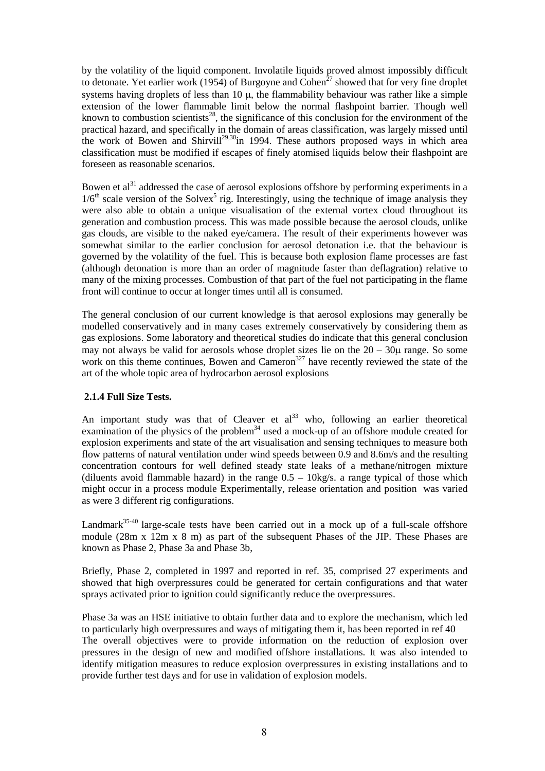by the volatility of the liquid component. Involatile liquids proved almost impossibly difficult to detonate. Yet earlier work (1954) of Burgoyne and Cohen<sup>27</sup> showed that for very fine droplet systems having droplets of less than  $10 \mu$ , the flammability behaviour was rather like a simple extension of the lower flammable limit below the normal flashpoint barrier. Though well known to combustion scientists<sup>28</sup>, the significance of this conclusion for the environment of the practical hazard, and specifically in the domain of areas classification, was largely missed until the work of Bowen and Shirvill<sup>29,30</sup>in 1994. These authors proposed ways in which area classification must be modified if escapes of finely atomised liquids below their flashpoint are foreseen as reasonable scenarios.

Bowen et  $al<sup>31</sup>$  addressed the case of aerosol explosions offshore by performing experiments in a  $1/6<sup>th</sup>$  scale version of the Solvex<sup>5</sup> rig. Interestingly, using the technique of image analysis they were also able to obtain a unique visualisation of the external vortex cloud throughout its generation and combustion process. This was made possible because the aerosol clouds, unlike gas clouds, are visible to the naked eye/camera. The result of their experiments however was somewhat similar to the earlier conclusion for aerosol detonation i.e. that the behaviour is governed by the volatility of the fuel. This is because both explosion flame processes are fast (although detonation is more than an order of magnitude faster than deflagration) relative to many of the mixing processes. Combustion of that part of the fuel not participating in the flame front will continue to occur at longer times until all is consumed.

The general conclusion of our current knowledge is that aerosol explosions may generally be modelled conservatively and in many cases extremely conservatively by considering them as gas explosions. Some laboratory and theoretical studies do indicate that this general conclusion may not always be valid for aerosols whose droplet sizes lie on the  $20 - 30\mu$  range. So some work on this theme continues, Bowen and Cameron<sup>327</sup> have recently reviewed the state of the art of the whole topic area of hydrocarbon aerosol explosions

#### **2.1.4 Full Size Tests.**

An important study was that of Cleaver et  $al<sup>33</sup>$  who, following an earlier theoretical examination of the physics of the problem<sup>34</sup> used a mock-up of an offshore module created for explosion experiments and state of the art visualisation and sensing techniques to measure both flow patterns of natural ventilation under wind speeds between 0.9 and 8.6m/s and the resulting concentration contours for well defined steady state leaks of a methane/nitrogen mixture (diluents avoid flammable hazard) in the range  $0.5 - 10 \text{kg/s}$ . a range typical of those which might occur in a process module Experimentally, release orientation and position was varied as were 3 different rig configurations.

Landmark<sup>35-40</sup> large-scale tests have been carried out in a mock up of a full-scale offshore module (28m x 12m x 8 m) as part of the subsequent Phases of the JIP. These Phases are known as Phase 2, Phase 3a and Phase 3b,

Briefly, Phase 2, completed in 1997 and reported in ref. 35, comprised 27 experiments and showed that high overpressures could be generated for certain configurations and that water sprays activated prior to ignition could significantly reduce the overpressures.

Phase 3a was an HSE initiative to obtain further data and to explore the mechanism, which led to particularly high overpressures and ways of mitigating them it, has been reported in ref 40 The overall objectives were to provide information on the reduction of explosion over pressures in the design of new and modified offshore installations. It was also intended to identify mitigation measures to reduce explosion overpressures in existing installations and to provide further test days and for use in validation of explosion models.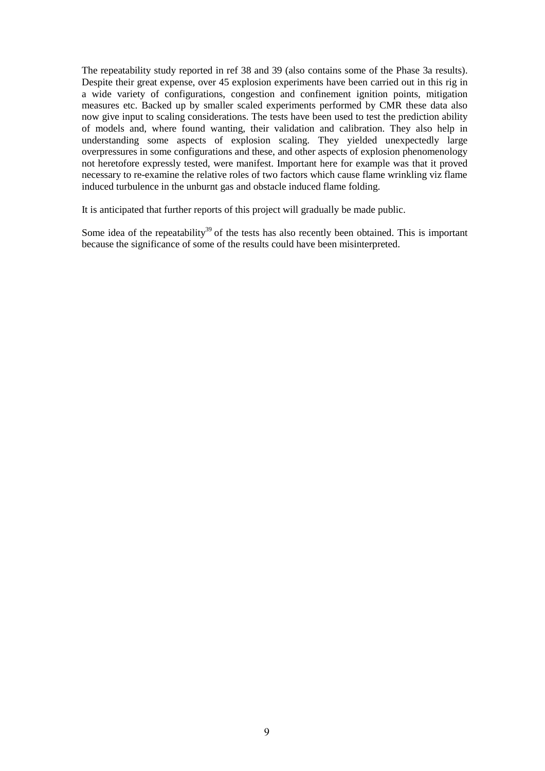The repeatability study reported in ref 38 and 39 (also contains some of the Phase 3a results). Despite their great expense, over 45 explosion experiments have been carried out in this rig in a wide variety of configurations, congestion and confinement ignition points, mitigation measures etc. Backed up by smaller scaled experiments performed by CMR these data also now give input to scaling considerations. The tests have been used to test the prediction ability of models and, where found wanting, their validation and calibration. They also help in understanding some aspects of explosion scaling. They yielded unexpectedly large overpressures in some configurations and these, and other aspects of explosion phenomenology not heretofore expressly tested, were manifest. Important here for example was that it proved necessary to re-examine the relative roles of two factors which cause flame wrinkling viz flame induced turbulence in the unburnt gas and obstacle induced flame folding.

It is anticipated that further reports of this project will gradually be made public.

Some idea of the repeatability<sup>39</sup> of the tests has also recently been obtained. This is important because the significance of some of the results could have been misinterpreted.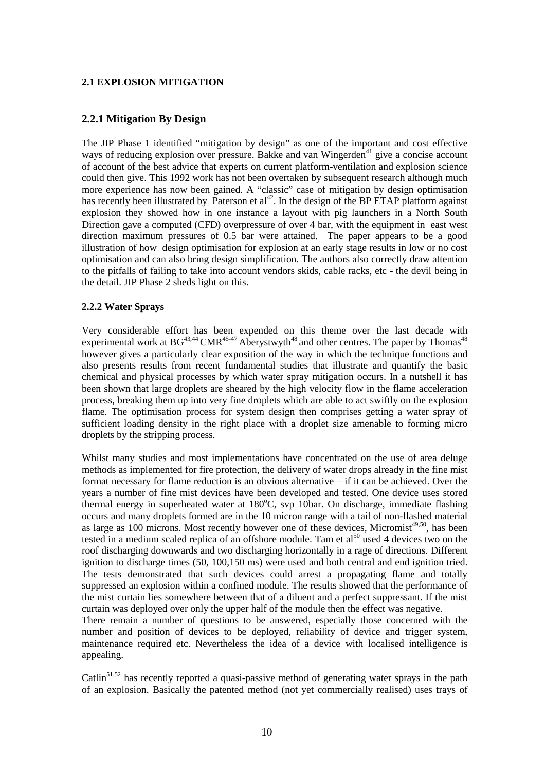#### **2.1 EXPLOSION MITIGATION**

#### **2.2.1 Mitigation By Design**

The JIP Phase 1 identified "mitigation by design" as one of the important and cost effective ways of reducing explosion over pressure. Bakke and van Wingerden<sup>41</sup> give a concise account of account of the best advice that experts on current platform-ventilation and explosion science could then give. This 1992 work has not been overtaken by subsequent research although much more experience has now been gained. A "classic" case of mitigation by design optimisation has recently been illustrated by Paterson et  $al<sup>42</sup>$ . In the design of the BP ETAP platform against explosion they showed how in one instance a layout with pig launchers in a North South Direction gave a computed (CFD) overpressure of over 4 bar, with the equipment in east west direction maximum pressures of 0.5 bar were attained. The paper appears to be a good illustration of how design optimisation for explosion at an early stage results in low or no cost optimisation and can also bring design simplification. The authors also correctly draw attention to the pitfalls of failing to take into account vendors skids, cable racks, etc - the devil being in the detail. JIP Phase 2 sheds light on this.

#### **2.2.2 Water Sprays**

Very considerable effort has been expended on this theme over the last decade with experimental work at  $BG^{43,44}$  CMR<sup>45-47</sup> Aberystwyth<sup>48</sup> and other centres. The paper by Thomas<sup>48</sup> however gives a particularly clear exposition of the way in which the technique functions and also presents results from recent fundamental studies that illustrate and quantify the basic chemical and physical processes by which water spray mitigation occurs. In a nutshell it has been shown that large droplets are sheared by the high velocity flow in the flame acceleration process, breaking them up into very fine droplets which are able to act swiftly on the explosion flame. The optimisation process for system design then comprises getting a water spray of sufficient loading density in the right place with a droplet size amenable to forming micro droplets by the stripping process.

Whilst many studies and most implementations have concentrated on the use of area deluge methods as implemented for fire protection, the delivery of water drops already in the fine mist format necessary for flame reduction is an obvious alternative – if it can be achieved. Over the years a number of fine mist devices have been developed and tested. One device uses stored thermal energy in superheated water at 180°C, svp 10bar. On discharge, immediate flashing occurs and many droplets formed are in the 10 micron range with a tail of non-flashed material as large as 100 microns. Most recently however one of these devices, Micromist<sup> $49,50$ </sup>, has been tested in a medium scaled replica of an offshore module. Tam et  $al<sup>50</sup>$  used 4 devices two on the roof discharging downwards and two discharging horizontally in a rage of directions. Different ignition to discharge times (50, 100,150 ms) were used and both central and end ignition tried. The tests demonstrated that such devices could arrest a propagating flame and totally suppressed an explosion within a confined module. The results showed that the performance of the mist curtain lies somewhere between that of a diluent and a perfect suppressant. If the mist curtain was deployed over only the upper half of the module then the effect was negative. There remain a number of questions to be answered, especially those concerned with the number and position of devices to be deployed, reliability of device and trigger system, maintenance required etc. Nevertheless the idea of a device with localised intelligence is appealing.

Catlin<sup>51,52</sup> has recently reported a quasi-passive method of generating water sprays in the path of an explosion. Basically the patented method (not yet commercially realised) uses trays of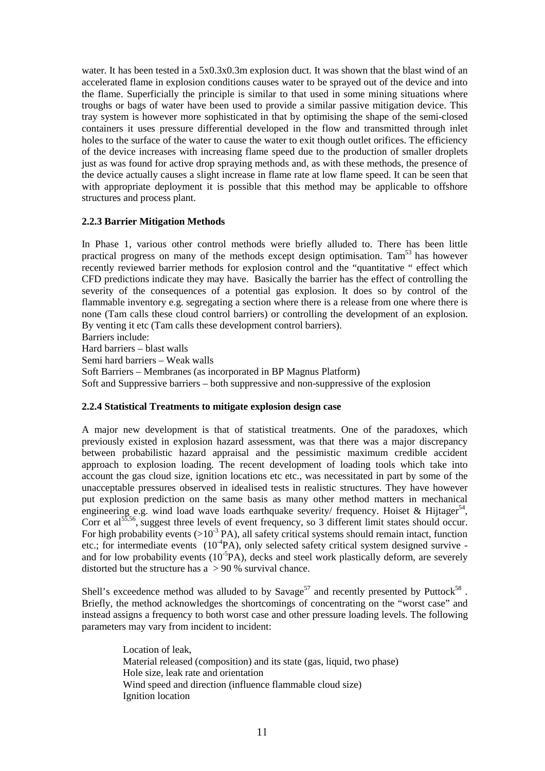water. It has been tested in a 5x0.3x0.3m explosion duct. It was shown that the blast wind of an accelerated flame in explosion conditions causes water to be sprayed out of the device and into the flame. Superficially the principle is similar to that used in some mining situations where troughs or bags of water have been used to provide a similar passive mitigation device. This tray system is however more sophisticated in that by optimising the shape of the semi-closed containers it uses pressure differential developed in the flow and transmitted through inlet holes to the surface of the water to cause the water to exit though outlet orifices. The efficiency of the device increases with increasing flame speed due to the production of smaller droplets just as was found for active drop spraying methods and, as with these methods, the presence of the device actually causes a slight increase in flame rate at low flame speed. It can be seen that with appropriate deployment it is possible that this method may be applicable to offshore structures and process plant.

#### **2.2.3 Barrier Mitigation Methods**

In Phase 1, various other control methods were briefly alluded to. There has been little practical progress on many of the methods except design optimisation. Tam<sup>53</sup> has however recently reviewed barrier methods for explosion control and the "quantitative " effect which CFD predictions indicate they may have. Basically the barrier has the effect of controlling the severity of the consequences of a potential gas explosion. It does so by control of the flammable inventory e.g. segregating a section where there is a release from one where there is none (Tam calls these cloud control barriers) or controlling the development of an explosion. By venting it etc (Tam calls these development control barriers). Barriers include:

Hard barriers – blast walls Semi hard barriers – Weak walls Soft Barriers – Membranes (as incorporated in BP Magnus Platform) Soft and Suppressive barriers – both suppressive and non-suppressive of the explosion

#### **2.2.4 Statistical Treatments to mitigate explosion design case**

A major new development is that of statistical treatments. One of the paradoxes, which previously existed in explosion hazard assessment, was that there was a major discrepancy between probabilistic hazard appraisal and the pessimistic maximum credible accident approach to explosion loading. The recent development of loading tools which take into account the gas cloud size, ignition locations etc etc., was necessitated in part by some of the unacceptable pressures observed in idealised tests in realistic structures. They have however put explosion prediction on the same basis as many other method matters in mechanical engineering e.g. wind load wave loads earthquake severity/ frequency. Hoiset & Hijtager<sup>54</sup>, Corr et al<sup>55,56</sup>, suggest three levels of event frequency, so 3 different limit states should occur. For high probability events  $(>10^3 \text{ PA})$ , all safety critical systems should remain intact, function etc.; for intermediate events  $(10^{4}PA)$ , only selected safety critical system designed survive and for low probability events  $(10^{-5}PA)$ , decks and steel work plastically deform, are severely distorted but the structure has a > 90 % survival chance.

Shell's exceedence method was alluded to by Savage<sup>57</sup> and recently presented by Puttock<sup>58</sup>. Briefly, the method acknowledges the shortcomings of concentrating on the "worst case" and instead assigns a frequency to both worst case and other pressure loading levels. The following parameters may vary from incident to incident:

> Location of leak, Material released (composition) and its state (gas, liquid, two phase) Hole size, leak rate and orientation Wind speed and direction (influence flammable cloud size) Ignition location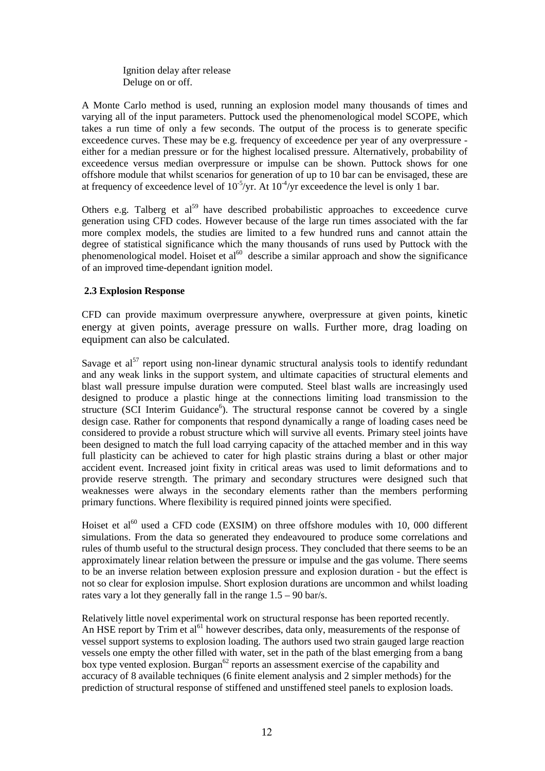Ignition delay after release Deluge on or off.

A Monte Carlo method is used, running an explosion model many thousands of times and varying all of the input parameters. Puttock used the phenomenological model SCOPE, which takes a run time of only a few seconds. The output of the process is to generate specific exceedence curves. These may be e.g. frequency of exceedence per year of any overpressure either for a median pressure or for the highest localised pressure. Alternatively, probability of exceedence versus median overpressure or impulse can be shown. Puttock shows for one offshore module that whilst scenarios for generation of up to 10 bar can be envisaged, these are at frequency of exceedence level of  $10^{-5}/yr$ . At  $10^{-4}/yr$  exceedence the level is only 1 bar.

Others e.g. Talberg et al<sup>59</sup> have described probabilistic approaches to exceedence curve generation using CFD codes. However because of the large run times associated with the far more complex models, the studies are limited to a few hundred runs and cannot attain the degree of statistical significance which the many thousands of runs used by Puttock with the phenomenological model. Hoiset et  $al^{60}$  describe a similar approach and show the significance of an improved time-dependant ignition model.

#### **2.3 Explosion Response**

CFD can provide maximum overpressure anywhere, overpressure at given points, kinetic energy at given points, average pressure on walls. Further more, drag loading on equipment can also be calculated.

Savage et al<sup>57</sup> report using non-linear dynamic structural analysis tools to identify redundant and any weak links in the support system, and ultimate capacities of structural elements and blast wall pressure impulse duration were computed. Steel blast walls are increasingly used designed to produce a plastic hinge at the connections limiting load transmission to the structure (SCI Interim Guidance<sup>6</sup>). The structural response cannot be covered by a single design case. Rather for components that respond dynamically a range of loading cases need be considered to provide a robust structure which will survive all events. Primary steel joints have been designed to match the full load carrying capacity of the attached member and in this way full plasticity can be achieved to cater for high plastic strains during a blast or other major accident event. Increased joint fixity in critical areas was used to limit deformations and to provide reserve strength. The primary and secondary structures were designed such that weaknesses were always in the secondary elements rather than the members performing primary functions. Where flexibility is required pinned joints were specified.

Hoiset et al<sup>60</sup> used a CFD code (EXSIM) on three offshore modules with 10, 000 different simulations. From the data so generated they endeavoured to produce some correlations and rules of thumb useful to the structural design process. They concluded that there seems to be an approximately linear relation between the pressure or impulse and the gas volume. There seems to be an inverse relation between explosion pressure and explosion duration - but the effect is not so clear for explosion impulse. Short explosion durations are uncommon and whilst loading rates vary a lot they generally fall in the range 1.5 – 90 bar/s.

Relatively little novel experimental work on structural response has been reported recently. An HSE report by Trim et al<sup>61</sup> however describes, data only, measurements of the response of vessel support systems to explosion loading. The authors used two strain gauged large reaction vessels one empty the other filled with water, set in the path of the blast emerging from a bang box type vented explosion. Burgan<sup>62</sup> reports an assessment exercise of the capability and accuracy of 8 available techniques (6 finite element analysis and 2 simpler methods) for the prediction of structural response of stiffened and unstiffened steel panels to explosion loads.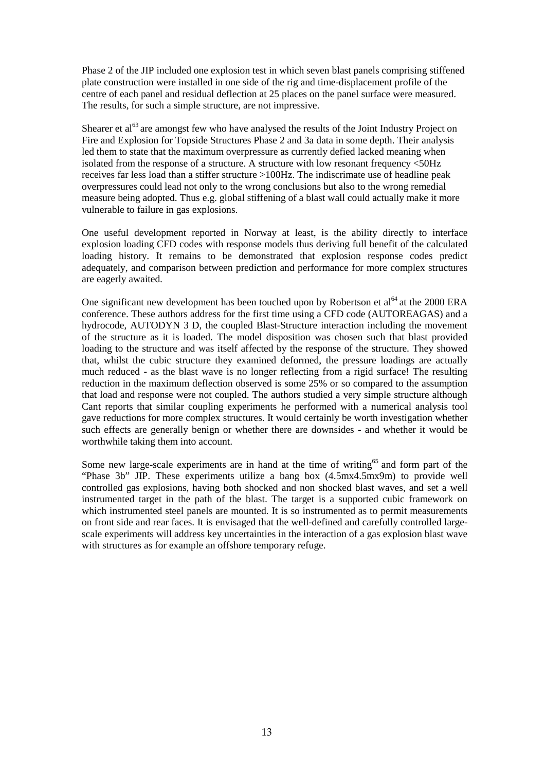Phase 2 of the JIP included one explosion test in which seven blast panels comprising stiffened plate construction were installed in one side of the rig and time-displacement profile of the centre of each panel and residual deflection at 25 places on the panel surface were measured. The results, for such a simple structure, are not impressive.

Shearer et al<sup>63</sup> are amongst few who have analysed the results of the Joint Industry Project on Fire and Explosion for Topside Structures Phase 2 and 3a data in some depth. Their analysis led them to state that the maximum overpressure as currently defied lacked meaning when isolated from the response of a structure. A structure with low resonant frequency <50Hz receives far less load than a stiffer structure >100Hz. The indiscrimate use of headline peak overpressures could lead not only to the wrong conclusions but also to the wrong remedial measure being adopted. Thus e.g. global stiffening of a blast wall could actually make it more vulnerable to failure in gas explosions.

One useful development reported in Norway at least, is the ability directly to interface explosion loading CFD codes with response models thus deriving full benefit of the calculated loading history. It remains to be demonstrated that explosion response codes predict adequately, and comparison between prediction and performance for more complex structures are eagerly awaited.

One significant new development has been touched upon by Robertson et  $al<sup>64</sup>$  at the 2000 ERA conference. These authors address for the first time using a CFD code (AUTOREAGAS) and a hydrocode, AUTODYN 3 D, the coupled Blast-Structure interaction including the movement of the structure as it is loaded. The model disposition was chosen such that blast provided loading to the structure and was itself affected by the response of the structure. They showed that, whilst the cubic structure they examined deformed, the pressure loadings are actually much reduced - as the blast wave is no longer reflecting from a rigid surface! The resulting reduction in the maximum deflection observed is some 25% or so compared to the assumption that load and response were not coupled. The authors studied a very simple structure although Cant reports that similar coupling experiments he performed with a numerical analysis tool gave reductions for more complex structures. It would certainly be worth investigation whether such effects are generally benign or whether there are downsides - and whether it would be worthwhile taking them into account.

Some new large-scale experiments are in hand at the time of writing<sup>65</sup> and form part of the "Phase 3b" JIP. These experiments utilize a bang box (4.5mx4.5mx9m) to provide well controlled gas explosions, having both shocked and non shocked blast waves, and set a well instrumented target in the path of the blast. The target is a supported cubic framework on which instrumented steel panels are mounted. It is so instrumented as to permit measurements on front side and rear faces. It is envisaged that the well-defined and carefully controlled largescale experiments will address key uncertainties in the interaction of a gas explosion blast wave with structures as for example an offshore temporary refuge.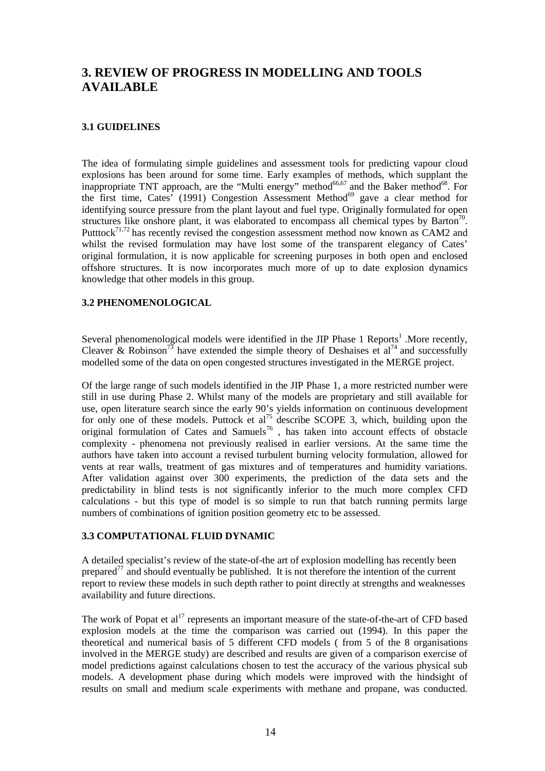# **3. REVIEW OF PROGRESS IN MODELLING AND TOOLS AVAILABLE**

#### **3.1 GUIDELINES**

The idea of formulating simple guidelines and assessment tools for predicting vapour cloud explosions has been around for some time. Early examples of methods, which supplant the inappropriate TNT approach, are the "Multi energy" method $^{66,67}$  and the Baker method $^{68}$ . For the first time, Cates' (1991) Congestion Assessment Method<sup>69</sup> gave a clear method for identifying source pressure from the plant layout and fuel type. Originally formulated for open structures like onshore plant, it was elaborated to encompass all chemical types by Barton<sup>70</sup>. Putttock<sup>71,72</sup> has recently revised the congestion assessment method now known as CAM2 and whilst the revised formulation may have lost some of the transparent elegancy of Cates' original formulation, it is now applicable for screening purposes in both open and enclosed offshore structures. It is now incorporates much more of up to date explosion dynamics knowledge that other models in this group.

#### **3.2 PHENOMENOLOGICAL**

Several phenomenological models were identified in the JIP Phase  $1$  Reports<sup>1</sup> . More recently, Cleaver & Robinson<sup>73</sup> have extended the simple theory of Deshaises et al<sup>74</sup> and successfully modelled some of the data on open congested structures investigated in the MERGE project.

Of the large range of such models identified in the JIP Phase 1, a more restricted number were still in use during Phase 2. Whilst many of the models are proprietary and still available for use, open literature search since the early 90's yields information on continuous development for only one of these models. Puttock et al<sup>75</sup> describe SCOPE 3, which, building upon the original formulation of Cates and Samuels<sup>76</sup>, has taken into account effects of obstacle complexity - phenomena not previously realised in earlier versions. At the same time the authors have taken into account a revised turbulent burning velocity formulation, allowed for vents at rear walls, treatment of gas mixtures and of temperatures and humidity variations. After validation against over 300 experiments, the prediction of the data sets and the predictability in blind tests is not significantly inferior to the much more complex CFD calculations - but this type of model is so simple to run that batch running permits large numbers of combinations of ignition position geometry etc to be assessed.

#### **3.3 COMPUTATIONAL FLUID DYNAMIC**

A detailed specialist's review of the state-of-the art of explosion modelling has recently been prepared<sup> $77$ </sup> and should eventually be published. It is not therefore the intention of the current report to review these models in such depth rather to point directly at strengths and weaknesses availability and future directions.

The work of Popat et al<sup>17</sup> represents an important measure of the state-of-the-art of CFD based explosion models at the time the comparison was carried out (1994). In this paper the theoretical and numerical basis of 5 different CFD models ( from 5 of the 8 organisations involved in the MERGE study) are described and results are given of a comparison exercise of model predictions against calculations chosen to test the accuracy of the various physical sub models. A development phase during which models were improved with the hindsight of results on small and medium scale experiments with methane and propane, was conducted.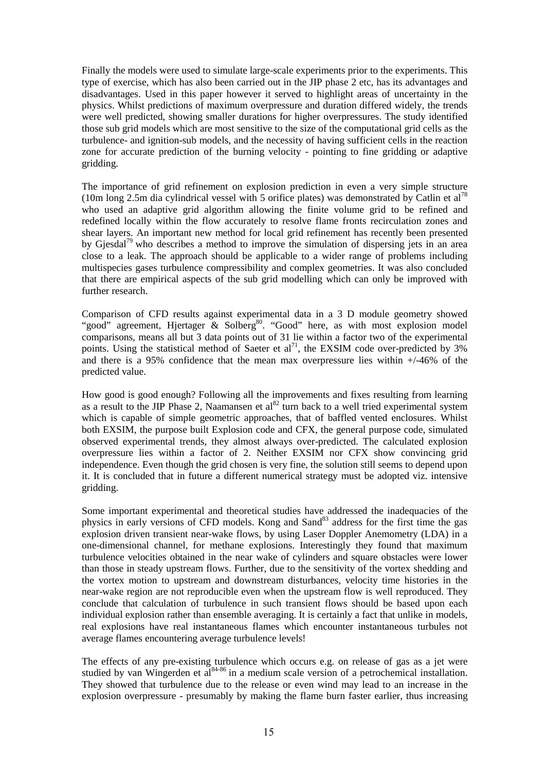Finally the models were used to simulate large-scale experiments prior to the experiments. This type of exercise, which has also been carried out in the JIP phase 2 etc, has its advantages and disadvantages. Used in this paper however it served to highlight areas of uncertainty in the physics. Whilst predictions of maximum overpressure and duration differed widely, the trends were well predicted, showing smaller durations for higher overpressures. The study identified those sub grid models which are most sensitive to the size of the computational grid cells as the turbulence- and ignition-sub models, and the necessity of having sufficient cells in the reaction zone for accurate prediction of the burning velocity - pointing to fine gridding or adaptive gridding.

The importance of grid refinement on explosion prediction in even a very simple structure (10m long 2.5m dia cylindrical vessel with 5 orifice plates) was demonstrated by Catlin et al<sup>78</sup> who used an adaptive grid algorithm allowing the finite volume grid to be refined and redefined locally within the flow accurately to resolve flame fronts recirculation zones and shear layers. An important new method for local grid refinement has recently been presented by Giesdal<sup>79</sup> who describes a method to improve the simulation of dispersing jets in an area close to a leak. The approach should be applicable to a wider range of problems including multispecies gases turbulence compressibility and complex geometries. It was also concluded that there are empirical aspects of the sub grid modelling which can only be improved with further research.

Comparison of CFD results against experimental data in a 3 D module geometry showed "good" agreement, Hjertager & Solberg<sup>80</sup>. "Good" here, as with most explosion model comparisons, means all but 3 data points out of 31 lie within a factor two of the experimental points. Using the statistical method of Saeter et  $al^{71}$ , the EXSIM code over-predicted by 3% and there is a 95% confidence that the mean max overpressure lies within +/-46% of the predicted value.

How good is good enough? Following all the improvements and fixes resulting from learning as a result to the JIP Phase 2, Naamansen et  $a^{82}$  turn back to a well tried experimental system which is capable of simple geometric approaches, that of baffled vented enclosures. Whilst both EXSIM, the purpose built Explosion code and CFX, the general purpose code, simulated observed experimental trends, they almost always over-predicted. The calculated explosion overpressure lies within a factor of 2. Neither EXSIM nor CFX show convincing grid independence. Even though the grid chosen is very fine, the solution still seems to depend upon it. It is concluded that in future a different numerical strategy must be adopted viz. intensive gridding.

Some important experimental and theoretical studies have addressed the inadequacies of the physics in early versions of CFD models. Kong and Sand $^{83}$  address for the first time the gas explosion driven transient near-wake flows, by using Laser Doppler Anemometry (LDA) in a one-dimensional channel, for methane explosions. Interestingly they found that maximum turbulence velocities obtained in the near wake of cylinders and square obstacles were lower than those in steady upstream flows. Further, due to the sensitivity of the vortex shedding and the vortex motion to upstream and downstream disturbances, velocity time histories in the near-wake region are not reproducible even when the upstream flow is well reproduced. They conclude that calculation of turbulence in such transient flows should be based upon each individual explosion rather than ensemble averaging. It is certainly a fact that unlike in models, real explosions have real instantaneous flames which encounter instantaneous turbules not average flames encountering average turbulence levels!

The effects of any pre-existing turbulence which occurs e.g. on release of gas as a jet were studied by van Wingerden et  $a^{84-86}$  in a medium scale version of a petrochemical installation. They showed that turbulence due to the release or even wind may lead to an increase in the explosion overpressure - presumably by making the flame burn faster earlier, thus increasing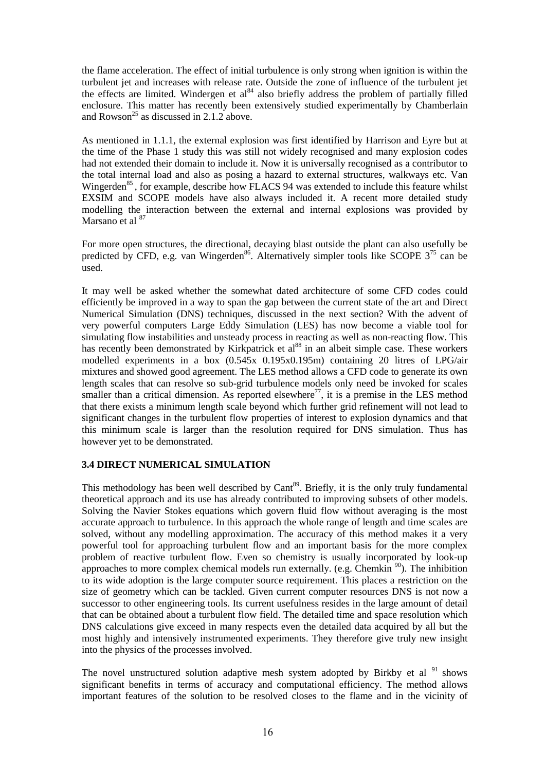the flame acceleration. The effect of initial turbulence is only strong when ignition is within the turbulent jet and increases with release rate. Outside the zone of influence of the turbulent jet the effects are limited. Windergen et al<sup>84</sup> also briefly address the problem of partially filled enclosure. This matter has recently been extensively studied experimentally by Chamberlain and Rowson<sup>25</sup> as discussed in 2.1.2 above.

As mentioned in 1.1.1, the external explosion was first identified by Harrison and Eyre but at the time of the Phase 1 study this was still not widely recognised and many explosion codes had not extended their domain to include it. Now it is universally recognised as a contributor to the total internal load and also as posing a hazard to external structures, walkways etc. Van Wingerden<sup>85</sup>, for example, describe how FLACS 94 was extended to include this feature whilst EXSIM and SCOPE models have also always included it. A recent more detailed study modelling the interaction between the external and internal explosions was provided by Marsano et al <sup>87</sup>

For more open structures, the directional, decaying blast outside the plant can also usefully be predicted by CFD, e.g. van Wingerden<sup>86</sup>. Alternatively simpler tools like SCOPE  $3^{75}$  can be used.

It may well be asked whether the somewhat dated architecture of some CFD codes could efficiently be improved in a way to span the gap between the current state of the art and Direct Numerical Simulation (DNS) techniques, discussed in the next section? With the advent of very powerful computers Large Eddy Simulation (LES) has now become a viable tool for simulating flow instabilities and unsteady process in reacting as well as non-reacting flow. This has recently been demonstrated by Kirkpatrick et al<sup>88</sup> in an albeit simple case. These workers modelled experiments in a box (0.545x 0.195x0.195m) containing 20 litres of LPG/air mixtures and showed good agreement. The LES method allows a CFD code to generate its own length scales that can resolve so sub-grid turbulence models only need be invoked for scales smaller than a critical dimension. As reported elsewhere<sup>77</sup>, it is a premise in the LES method that there exists a minimum length scale beyond which further grid refinement will not lead to significant changes in the turbulent flow properties of interest to explosion dynamics and that this minimum scale is larger than the resolution required for DNS simulation. Thus has however yet to be demonstrated.

#### **3.4 DIRECT NUMERICAL SIMULATION**

This methodology has been well described by Cant<sup>89</sup>. Briefly, it is the only truly fundamental theoretical approach and its use has already contributed to improving subsets of other models. Solving the Navier Stokes equations which govern fluid flow without averaging is the most accurate approach to turbulence. In this approach the whole range of length and time scales are solved, without any modelling approximation. The accuracy of this method makes it a very powerful tool for approaching turbulent flow and an important basis for the more complex problem of reactive turbulent flow. Even so chemistry is usually incorporated by look-up approaches to more complex chemical models run externally. (e.g. Chemkin  $\frac{90}{10}$ ). The inhibition to its wide adoption is the large computer source requirement. This places a restriction on the size of geometry which can be tackled. Given current computer resources DNS is not now a successor to other engineering tools. Its current usefulness resides in the large amount of detail that can be obtained about a turbulent flow field. The detailed time and space resolution which DNS calculations give exceed in many respects even the detailed data acquired by all but the most highly and intensively instrumented experiments. They therefore give truly new insight into the physics of the processes involved.

The novel unstructured solution adaptive mesh system adopted by Birkby et al  $91$  shows significant benefits in terms of accuracy and computational efficiency. The method allows important features of the solution to be resolved closes to the flame and in the vicinity of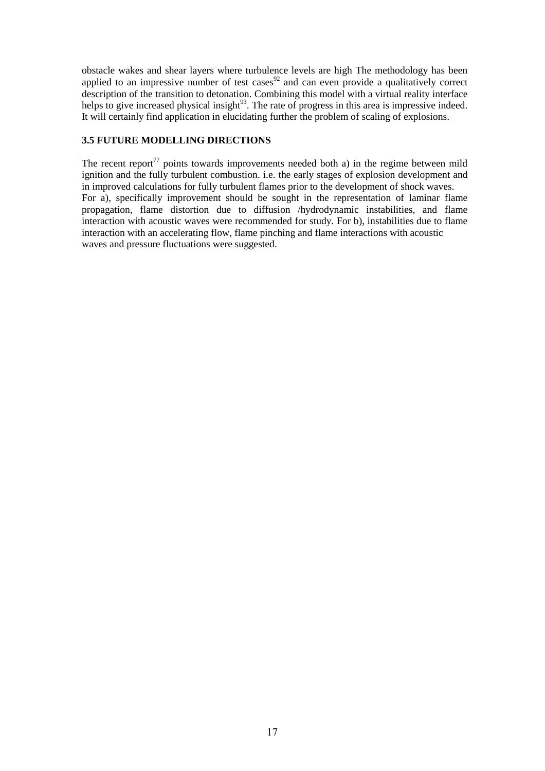obstacle wakes and shear layers where turbulence levels are high The methodology has been applied to an impressive number of test cases<sup>92</sup> and can even provide a qualitatively correct description of the transition to detonation. Combining this model with a virtual reality interface helps to give increased physical insight<sup>93</sup>. The rate of progress in this area is impressive indeed. It will certainly find application in elucidating further the problem of scaling of explosions.

## **3.5 FUTURE MODELLING DIRECTIONS**

The recent report<sup>77</sup> points towards improvements needed both a) in the regime between mild ignition and the fully turbulent combustion. i.e. the early stages of explosion development and in improved calculations for fully turbulent flames prior to the development of shock waves. For a), specifically improvement should be sought in the representation of laminar flame propagation, flame distortion due to diffusion /hydrodynamic instabilities, and flame interaction with acoustic waves were recommended for study. For b), instabilities due to flame interaction with an accelerating flow, flame pinching and flame interactions with acoustic waves and pressure fluctuations were suggested.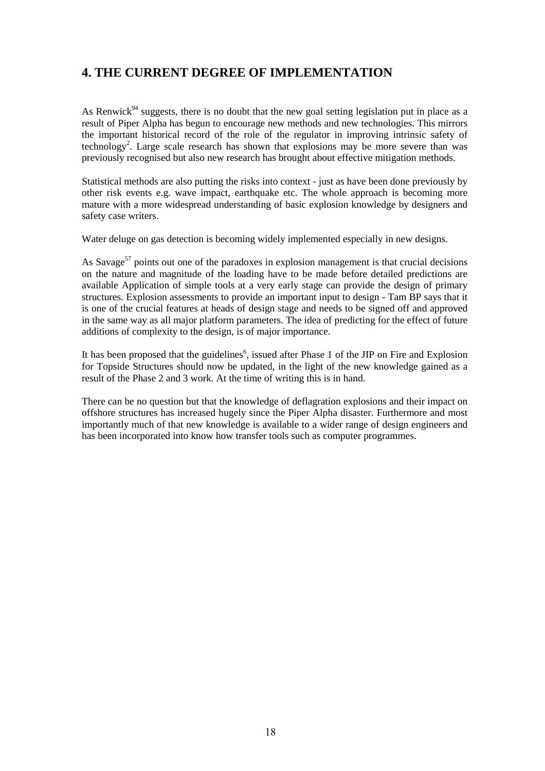# **4. THE CURRENT DEGREE OF IMPLEMENTATION**

As Renwick<sup>94</sup> suggests, there is no doubt that the new goal setting legislation put in place as a result of Piper Alpha has begun to encourage new methods and new technologies. This mirrors the important historical record of the role of the regulator in improving intrinsic safety of technology<sup>2</sup>. Large scale research has shown that explosions may be more severe than was previously recognised but also new research has brought about effective mitigation methods.

Statistical methods are also putting the risks into context - just as have been done previously by other risk events e.g. wave impact, earthquake etc. The whole approach is becoming more mature with a more widespread understanding of basic explosion knowledge by designers and safety case writers.

Water deluge on gas detection is becoming widely implemented especially in new designs.

As Savage<sup>57</sup> points out one of the paradoxes in explosion management is that crucial decisions on the nature and magnitude of the loading have to be made before detailed predictions are available Application of simple tools at a very early stage can provide the design of primary structures. Explosion assessments to provide an important input to design - Tam BP says that it is one of the crucial features at heads of design stage and needs to be signed off and approved in the same way as all major platform parameters. The idea of predicting for the effect of future additions of complexity to the design, is of major importance.

It has been proposed that the guidelines<sup>6</sup>, issued after Phase 1 of the JIP on Fire and Explosion for Topside Structures should now be updated, in the light of the new knowledge gained as a result of the Phase 2 and 3 work. At the time of writing this is in hand.

There can be no question but that the knowledge of deflagration explosions and their impact on offshore structures has increased hugely since the Piper Alpha disaster. Furthermore and most importantly much of that new knowledge is available to a wider range of design engineers and has been incorporated into know how transfer tools such as computer programmes.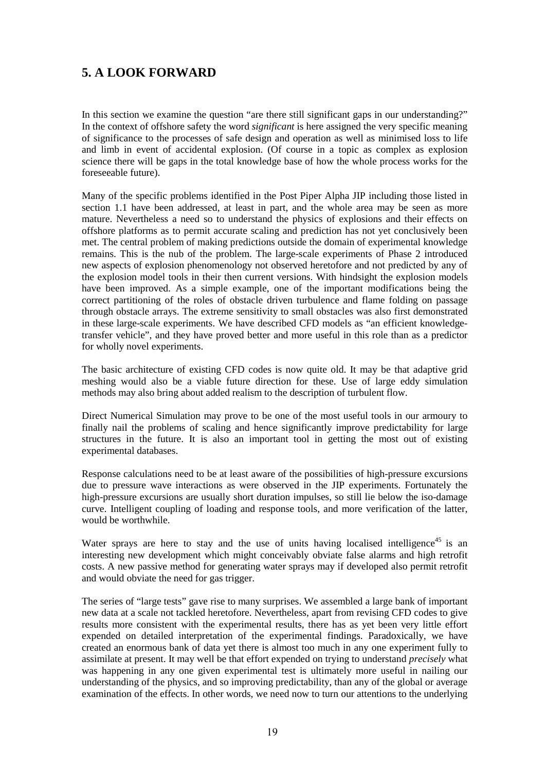# **5. A LOOK FORWARD**

In this section we examine the question "are there still significant gaps in our understanding?" In the context of offshore safety the word *significant* is here assigned the very specific meaning of significance to the processes of safe design and operation as well as minimised loss to life and limb in event of accidental explosion. (Of course in a topic as complex as explosion science there will be gaps in the total knowledge base of how the whole process works for the foreseeable future).

Many of the specific problems identified in the Post Piper Alpha JIP including those listed in section 1.1 have been addressed, at least in part, and the whole area may be seen as more mature. Nevertheless a need so to understand the physics of explosions and their effects on offshore platforms as to permit accurate scaling and prediction has not yet conclusively been met. The central problem of making predictions outside the domain of experimental knowledge remains. This is the nub of the problem. The large-scale experiments of Phase 2 introduced new aspects of explosion phenomenology not observed heretofore and not predicted by any of the explosion model tools in their then current versions. With hindsight the explosion models have been improved. As a simple example, one of the important modifications being the correct partitioning of the roles of obstacle driven turbulence and flame folding on passage through obstacle arrays. The extreme sensitivity to small obstacles was also first demonstrated in these large-scale experiments. We have described CFD models as "an efficient knowledgetransfer vehicle", and they have proved better and more useful in this role than as a predictor for wholly novel experiments.

The basic architecture of existing CFD codes is now quite old. It may be that adaptive grid meshing would also be a viable future direction for these. Use of large eddy simulation methods may also bring about added realism to the description of turbulent flow.

Direct Numerical Simulation may prove to be one of the most useful tools in our armoury to finally nail the problems of scaling and hence significantly improve predictability for large structures in the future. It is also an important tool in getting the most out of existing experimental databases.

Response calculations need to be at least aware of the possibilities of high-pressure excursions due to pressure wave interactions as were observed in the JIP experiments. Fortunately the high-pressure excursions are usually short duration impulses, so still lie below the iso-damage curve. Intelligent coupling of loading and response tools, and more verification of the latter, would be worthwhile.

Water sprays are here to stay and the use of units having localised intelligence<sup>45</sup> is an interesting new development which might conceivably obviate false alarms and high retrofit costs. A new passive method for generating water sprays may if developed also permit retrofit and would obviate the need for gas trigger.

The series of "large tests" gave rise to many surprises. We assembled a large bank of important new data at a scale not tackled heretofore. Nevertheless, apart from revising CFD codes to give results more consistent with the experimental results, there has as yet been very little effort expended on detailed interpretation of the experimental findings. Paradoxically, we have created an enormous bank of data yet there is almost too much in any one experiment fully to assimilate at present. It may well be that effort expended on trying to understand *precisely* what was happening in any one given experimental test is ultimately more useful in nailing our understanding of the physics, and so improving predictability, than any of the global or average examination of the effects. In other words, we need now to turn our attentions to the underlying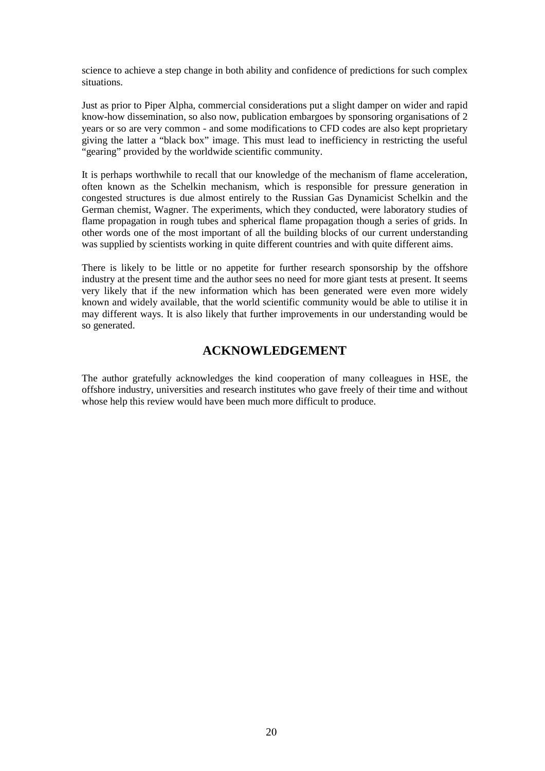science to achieve a step change in both ability and confidence of predictions for such complex situations.

Just as prior to Piper Alpha, commercial considerations put a slight damper on wider and rapid know-how dissemination, so also now, publication embargoes by sponsoring organisations of 2 years or so are very common - and some modifications to CFD codes are also kept proprietary giving the latter a "black box" image. This must lead to inefficiency in restricting the useful "gearing" provided by the worldwide scientific community.

It is perhaps worthwhile to recall that our knowledge of the mechanism of flame acceleration, often known as the Schelkin mechanism, which is responsible for pressure generation in congested structures is due almost entirely to the Russian Gas Dynamicist Schelkin and the German chemist, Wagner. The experiments, which they conducted, were laboratory studies of flame propagation in rough tubes and spherical flame propagation though a series of grids. In other words one of the most important of all the building blocks of our current understanding was supplied by scientists working in quite different countries and with quite different aims.

There is likely to be little or no appetite for further research sponsorship by the offshore industry at the present time and the author sees no need for more giant tests at present. It seems very likely that if the new information which has been generated were even more widely known and widely available, that the world scientific community would be able to utilise it in may different ways. It is also likely that further improvements in our understanding would be so generated.

# **ACKNOWLEDGEMENT**

The author gratefully acknowledges the kind cooperation of many colleagues in HSE, the offshore industry, universities and research institutes who gave freely of their time and without whose help this review would have been much more difficult to produce.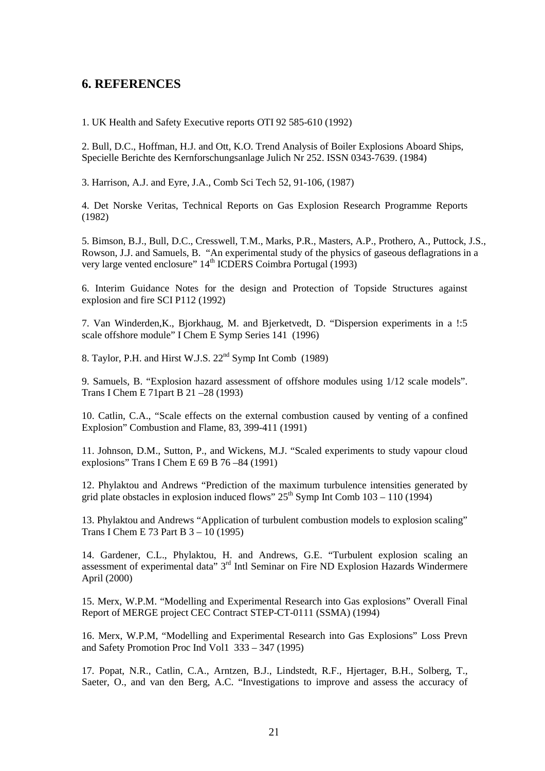## **6. REFERENCES**

1. UK Health and Safety Executive reports OTI 92 585-610 (1992)

2. Bull, D.C., Hoffman, H.J. and Ott, K.O. Trend Analysis of Boiler Explosions Aboard Ships, Specielle Berichte des Kernforschungsanlage Julich Nr 252. ISSN 0343-7639. (1984)

3. Harrison, A.J. and Eyre, J.A., Comb Sci Tech 52, 91-106, (1987)

4. Det Norske Veritas, Technical Reports on Gas Explosion Research Programme Reports (1982)

5. Bimson, B.J., Bull, D.C., Cresswell, T.M., Marks, P.R., Masters, A.P., Prothero, A., Puttock, J.S., Rowson, J.J. and Samuels, B. "An experimental study of the physics of gaseous deflagrations in a very large vented enclosure" 14<sup>th</sup> ICDERS Coimbra Portugal (1993)

6. Interim Guidance Notes for the design and Protection of Topside Structures against explosion and fire SCI P112 (1992)

7. Van Winderden,K., Bjorkhaug, M. and Bjerketvedt, D. "Dispersion experiments in a !:5 scale offshore module" I Chem E Symp Series 141 (1996)

8. Taylor, P.H. and Hirst W.J.S. 22<sup>nd</sup> Symp Int Comb (1989)

9. Samuels, B. "Explosion hazard assessment of offshore modules using 1/12 scale models". Trans I Chem E 71part B 21 –28 (1993)

10. Catlin, C.A., "Scale effects on the external combustion caused by venting of a confined Explosion" Combustion and Flame, 83, 399-411 (1991)

11. Johnson, D.M., Sutton, P., and Wickens, M.J. "Scaled experiments to study vapour cloud explosions" Trans I Chem E 69 B 76 –84 (1991)

12. Phylaktou and Andrews "Prediction of the maximum turbulence intensities generated by grid plate obstacles in explosion induced flows"  $25<sup>th</sup>$  Symp Int Comb  $103 - 110$  (1994)

13. Phylaktou and Andrews "Application of turbulent combustion models to explosion scaling" Trans I Chem E 73 Part B 3 – 10 (1995)

14. Gardener, C.L., Phylaktou, H. and Andrews, G.E. "Turbulent explosion scaling an assessment of experimental data" 3rd Intl Seminar on Fire ND Explosion Hazards Windermere April (2000)

15. Merx, W.P.M. "Modelling and Experimental Research into Gas explosions" Overall Final Report of MERGE project CEC Contract STEP-CT-0111 (SSMA) (1994)

16. Merx, W.P.M, "Modelling and Experimental Research into Gas Explosions" Loss Prevn and Safety Promotion Proc Ind Vol1 333 – 347 (1995)

17. Popat, N.R., Catlin, C.A., Arntzen, B.J., Lindstedt, R.F., Hjertager, B.H., Solberg, T., Saeter, O., and van den Berg, A.C. "Investigations to improve and assess the accuracy of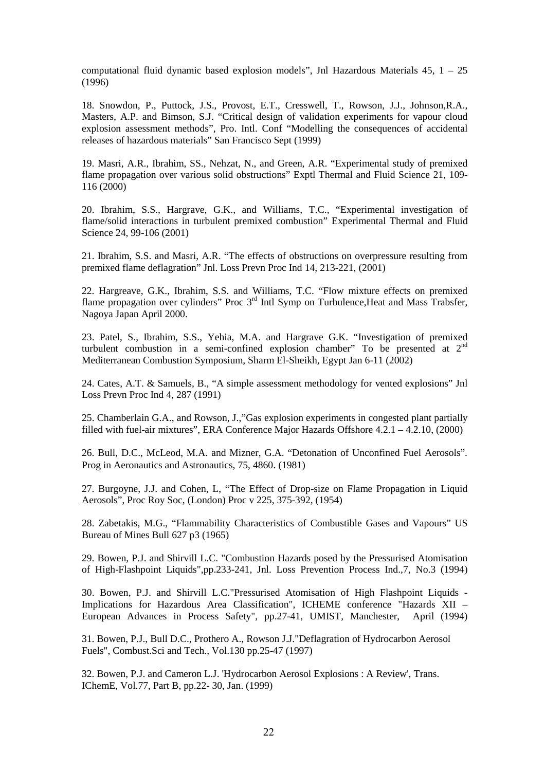computational fluid dynamic based explosion models", Jnl Hazardous Materials 45, 1 – 25 (1996)

18. Snowdon, P., Puttock, J.S., Provost, E.T., Cresswell, T., Rowson, J.J., Johnson,R.A., Masters, A.P. and Bimson, S.J. "Critical design of validation experiments for vapour cloud explosion assessment methods", Pro. Intl. Conf "Modelling the consequences of accidental releases of hazardous materials" San Francisco Sept (1999)

19. Masri, A.R., Ibrahim, SS., Nehzat, N., and Green, A.R. "Experimental study of premixed flame propagation over various solid obstructions" Exptl Thermal and Fluid Science 21, 109- 116 (2000)

20. Ibrahim, S.S., Hargrave, G.K., and Williams, T.C., "Experimental investigation of flame/solid interactions in turbulent premixed combustion" Experimental Thermal and Fluid Science 24, 99-106 (2001)

21. Ibrahim, S.S. and Masri, A.R. "The effects of obstructions on overpressure resulting from premixed flame deflagration" Jnl. Loss Prevn Proc Ind 14, 213-221, (2001)

22. Hargreave, G.K., Ibrahim, S.S. and Williams, T.C. "Flow mixture effects on premixed flame propagation over cylinders" Proc 3<sup>rd</sup> Intl Symp on Turbulence, Heat and Mass Trabsfer, Nagoya Japan April 2000.

23. Patel, S., Ibrahim, S.S., Yehia, M.A. and Hargrave G.K. "Investigation of premixed turbulent combustion in a semi-confined explosion chamber" To be presented at 2nd Mediterranean Combustion Symposium, Sharm El-Sheikh, Egypt Jan 6-11 (2002)

24. Cates, A.T. & Samuels, B., "A simple assessment methodology for vented explosions" Jnl Loss Prevn Proc Ind 4, 287 (1991)

25. Chamberlain G.A., and Rowson, J.,"Gas explosion experiments in congested plant partially filled with fuel-air mixtures", ERA Conference Major Hazards Offshore 4.2.1 – 4.2.10, (2000)

26. Bull, D.C., McLeod, M.A. and Mizner, G.A. "Detonation of Unconfined Fuel Aerosols". Prog in Aeronautics and Astronautics, 75, 4860. (1981)

27. Burgoyne, J.J. and Cohen, L, "The Effect of Drop-size on Flame Propagation in Liquid Aerosols", Proc Roy Soc, (London) Proc v 225, 375-392, (1954)

28. Zabetakis, M.G., "Flammability Characteristics of Combustible Gases and Vapours" US Bureau of Mines Bull 627 p3 (1965)

29. Bowen, P.J. and Shirvill L.C. "Combustion Hazards posed by the Pressurised Atomisation of High-Flashpoint Liquids",pp.233-241, Jnl. Loss Prevention Process Ind.,7, No.3 (1994)

30. Bowen, P.J. and Shirvill L.C."Pressurised Atomisation of High Flashpoint Liquids - Implications for Hazardous Area Classification", ICHEME conference "Hazards XII – European Advances in Process Safety", pp.27-41, UMIST, Manchester, April (1994)

31. Bowen, P.J., Bull D.C., Prothero A., Rowson J.J."Deflagration of Hydrocarbon Aerosol Fuels", Combust.Sci and Tech., Vol.130 pp.25-47 (1997)

32. Bowen, P.J. and Cameron L.J. 'Hydrocarbon Aerosol Explosions : A Review', Trans. IChemE, Vol.77, Part B, pp.22- 30, Jan. (1999)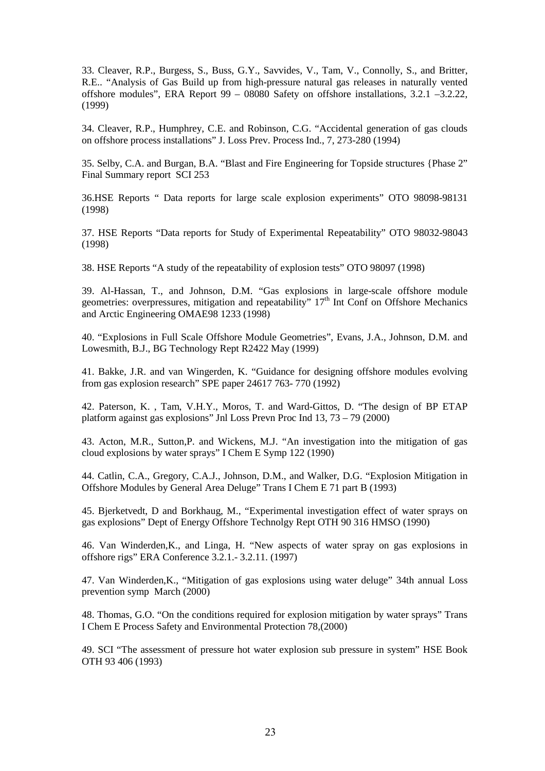33. Cleaver, R.P., Burgess, S., Buss, G.Y., Savvides, V., Tam, V., Connolly, S., and Britter, R.E.. "Analysis of Gas Build up from high-pressure natural gas releases in naturally vented offshore modules", ERA Report 99 – 08080 Safety on offshore installations, 3.2.1 –3.2.22, (1999)

34. Cleaver, R.P., Humphrey, C.E. and Robinson, C.G. "Accidental generation of gas clouds on offshore process installations" J. Loss Prev. Process Ind., 7, 273-280 (1994)

35. Selby, C.A. and Burgan, B.A. "Blast and Fire Engineering for Topside structures {Phase 2" Final Summary report SCI 253

36.HSE Reports " Data reports for large scale explosion experiments" OTO 98098-98131 (1998)

37. HSE Reports "Data reports for Study of Experimental Repeatability" OTO 98032-98043 (1998)

38. HSE Reports "A study of the repeatability of explosion tests" OTO 98097 (1998)

39. Al-Hassan, T., and Johnson, D.M. "Gas explosions in large-scale offshore module geometries: overpressures, mitigation and repeatability" 17<sup>th</sup> Int Conf on Offshore Mechanics and Arctic Engineering OMAE98 1233 (1998)

40. "Explosions in Full Scale Offshore Module Geometries", Evans, J.A., Johnson, D.M. and Lowesmith, B.J., BG Technology Rept R2422 May (1999)

41. Bakke, J.R. and van Wingerden, K. "Guidance for designing offshore modules evolving from gas explosion research" SPE paper 24617 763- 770 (1992)

42. Paterson, K. , Tam, V.H.Y., Moros, T. and Ward-Gittos, D. "The design of BP ETAP platform against gas explosions" Jnl Loss Prevn Proc Ind 13, 73 – 79 (2000)

43. Acton, M.R., Sutton,P. and Wickens, M.J. "An investigation into the mitigation of gas cloud explosions by water sprays" I Chem E Symp 122 (1990)

44. Catlin, C.A., Gregory, C.A.J., Johnson, D.M., and Walker, D.G. "Explosion Mitigation in Offshore Modules by General Area Deluge" Trans I Chem E 71 part B (1993)

45. Bjerketvedt, D and Borkhaug, M., "Experimental investigation effect of water sprays on gas explosions" Dept of Energy Offshore Technolgy Rept OTH 90 316 HMSO (1990)

46. Van Winderden,K., and Linga, H. "New aspects of water spray on gas explosions in offshore rigs" ERA Conference 3.2.1.- 3.2.11. (1997)

47. Van Winderden,K., "Mitigation of gas explosions using water deluge" 34th annual Loss prevention symp March (2000)

48. Thomas, G.O. "On the conditions required for explosion mitigation by water sprays" Trans I Chem E Process Safety and Environmental Protection 78,(2000)

49. SCI "The assessment of pressure hot water explosion sub pressure in system" HSE Book OTH 93 406 (1993)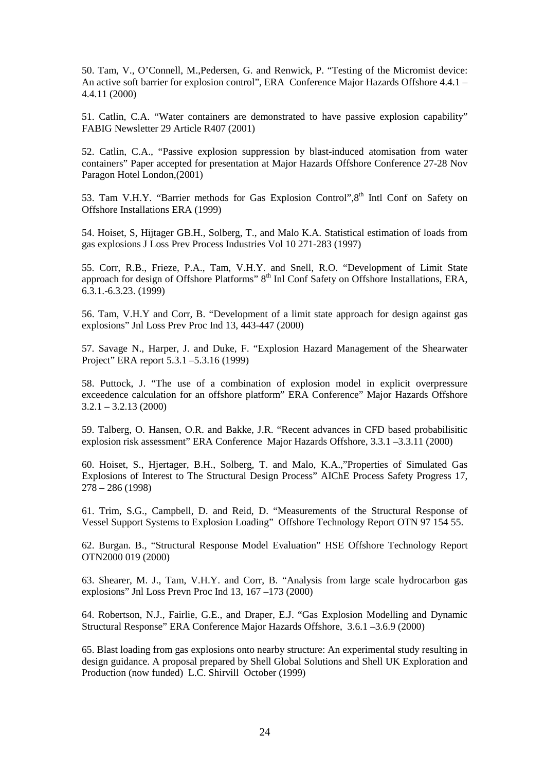50. Tam, V., O'Connell, M.,Pedersen, G. and Renwick, P. "Testing of the Micromist device: An active soft barrier for explosion control", ERA Conference Major Hazards Offshore 4.4.1 – 4.4.11 (2000)

51. Catlin, C.A. "Water containers are demonstrated to have passive explosion capability" FABIG Newsletter 29 Article R407 (2001)

52. Catlin, C.A., "Passive explosion suppression by blast-induced atomisation from water containers" Paper accepted for presentation at Major Hazards Offshore Conference 27-28 Nov Paragon Hotel London,(2001)

53. Tam V.H.Y. "Barrier methods for Gas Explosion Control".8<sup>th</sup> Intl Conf on Safety on Offshore Installations ERA (1999)

54. Hoiset, S, Hijtager GB.H., Solberg, T., and Malo K.A. Statistical estimation of loads from gas explosions J Loss Prev Process Industries Vol 10 271-283 (1997)

55. Corr, R.B., Frieze, P.A., Tam, V.H.Y. and Snell, R.O. "Development of Limit State approach for design of Offshore Platforms" 8<sup>th</sup> Inl Conf Safety on Offshore Installations, ERA, 6.3.1.-6.3.23. (1999)

56. Tam, V.H.Y and Corr, B. "Development of a limit state approach for design against gas explosions" Jnl Loss Prev Proc Ind 13, 443-447 (2000)

57. Savage N., Harper, J. and Duke, F. "Explosion Hazard Management of the Shearwater Project" ERA report 5.3.1 –5.3.16 (1999)

58. Puttock, J. "The use of a combination of explosion model in explicit overpressure exceedence calculation for an offshore platform" ERA Conference" Major Hazards Offshore  $3.2.1 - 3.2.13(2000)$ 

59. Talberg, O. Hansen, O.R. and Bakke, J.R. "Recent advances in CFD based probabilisitic explosion risk assessment" ERA Conference Major Hazards Offshore, 3.3.1 –3.3.11 (2000)

60. Hoiset, S., Hjertager, B.H., Solberg, T. and Malo, K.A.,"Properties of Simulated Gas Explosions of Interest to The Structural Design Process" AIChE Process Safety Progress 17, 278 – 286 (1998)

61. Trim, S.G., Campbell, D. and Reid, D. "Measurements of the Structural Response of Vessel Support Systems to Explosion Loading" Offshore Technology Report OTN 97 154 55.

62. Burgan. B., "Structural Response Model Evaluation" HSE Offshore Technology Report OTN2000 019 (2000)

63. Shearer, M. J., Tam, V.H.Y. and Corr, B. "Analysis from large scale hydrocarbon gas explosions" Jnl Loss Prevn Proc Ind 13, 167 –173 (2000)

64. Robertson, N.J., Fairlie, G.E., and Draper, E.J. "Gas Explosion Modelling and Dynamic Structural Response" ERA Conference Major Hazards Offshore, 3.6.1 –3.6.9 (2000)

65. Blast loading from gas explosions onto nearby structure: An experimental study resulting in design guidance. A proposal prepared by Shell Global Solutions and Shell UK Exploration and Production (now funded) L.C. Shirvill October (1999)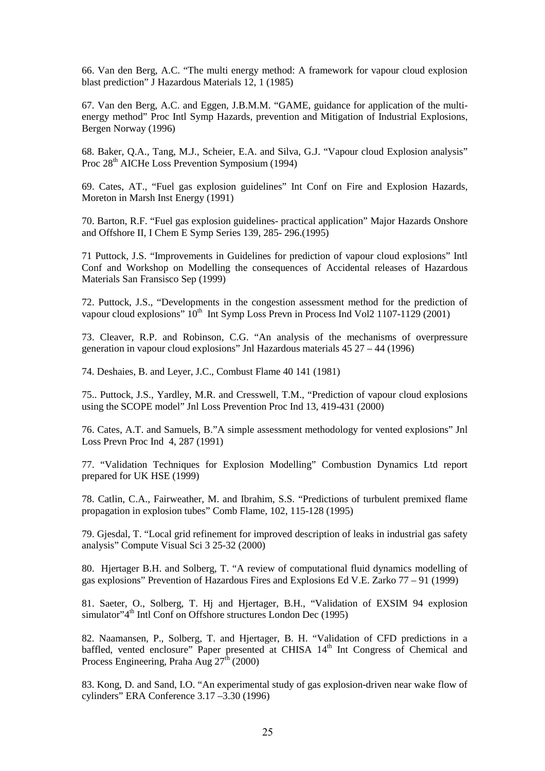66. Van den Berg, A.C. "The multi energy method: A framework for vapour cloud explosion blast prediction" J Hazardous Materials 12, 1 (1985)

67. Van den Berg, A.C. and Eggen, J.B.M.M. "GAME, guidance for application of the multienergy method" Proc Intl Symp Hazards, prevention and Mitigation of Industrial Explosions, Bergen Norway (1996)

68. Baker, Q.A., Tang, M.J., Scheier, E.A. and Silva, G.J. "Vapour cloud Explosion analysis" Proc 28<sup>th</sup> AICHe Loss Prevention Symposium (1994)

69. Cates, AT., "Fuel gas explosion guidelines" Int Conf on Fire and Explosion Hazards, Moreton in Marsh Inst Energy (1991)

70. Barton, R.F. "Fuel gas explosion guidelines- practical application" Major Hazards Onshore and Offshore II, I Chem E Symp Series 139, 285- 296.(1995)

71 Puttock, J.S. "Improvements in Guidelines for prediction of vapour cloud explosions" Intl Conf and Workshop on Modelling the consequences of Accidental releases of Hazardous Materials San Fransisco Sep (1999)

72. Puttock, J.S., "Developments in the congestion assessment method for the prediction of vapour cloud explosions"  $10^{th}$  Int Symp Loss Prevn in Process Ind Vol2 1107-1129 (2001)

73. Cleaver, R.P. and Robinson, C.G. "An analysis of the mechanisms of overpressure generation in vapour cloud explosions" Jnl Hazardous materials 45 27 – 44 (1996)

74. Deshaies, B. and Leyer, J.C., Combust Flame 40 141 (1981)

75.. Puttock, J.S., Yardley, M.R. and Cresswell, T.M., "Prediction of vapour cloud explosions using the SCOPE model" Jnl Loss Prevention Proc Ind 13, 419-431 (2000)

76. Cates, A.T. and Samuels, B."A simple assessment methodology for vented explosions" Jnl Loss Prevn Proc Ind 4, 287 (1991)

77. "Validation Techniques for Explosion Modelling" Combustion Dynamics Ltd report prepared for UK HSE (1999)

78. Catlin, C.A., Fairweather, M. and Ibrahim, S.S. "Predictions of turbulent premixed flame propagation in explosion tubes" Comb Flame, 102, 115-128 (1995)

79. Gjesdal, T. "Local grid refinement for improved description of leaks in industrial gas safety analysis" Compute Visual Sci 3 25-32 (2000)

80. Hjertager B.H. and Solberg, T. "A review of computational fluid dynamics modelling of gas explosions" Prevention of Hazardous Fires and Explosions Ed V.E. Zarko 77 – 91 (1999)

81. Saeter, O., Solberg, T. Hj and Hjertager, B.H., "Validation of EXSIM 94 explosion simulator"4<sup>th</sup> Intl Conf on Offshore structures London Dec (1995)

82. Naamansen, P., Solberg, T. and Hjertager, B. H. "Validation of CFD predictions in a baffled, vented enclosure" Paper presented at CHISA 14<sup>th</sup> Int Congress of Chemical and Process Engineering, Praha Aug  $27^{\text{th}}$  (2000)

83. Kong, D. and Sand, I.O. "An experimental study of gas explosion-driven near wake flow of cylinders" ERA Conference 3.17 –3.30 (1996)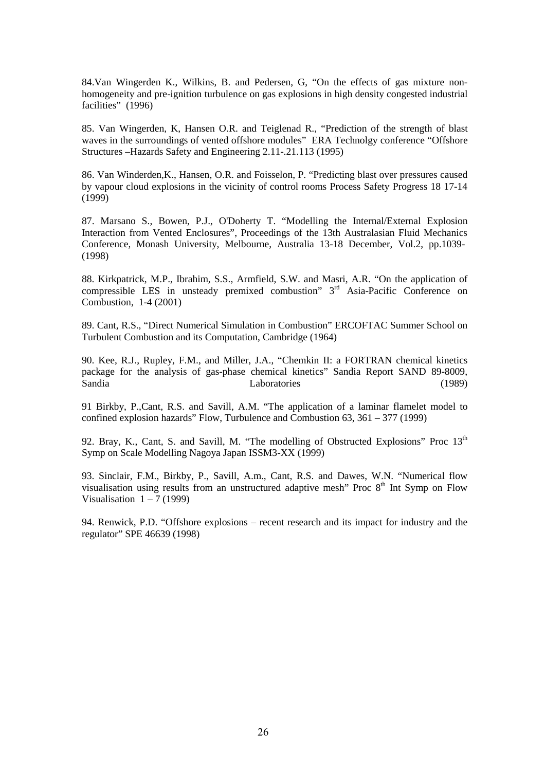84.Van Wingerden K., Wilkins, B. and Pedersen, G, "On the effects of gas mixture nonhomogeneity and pre-ignition turbulence on gas explosions in high density congested industrial facilities" (1996)

85. Van Wingerden, K, Hansen O.R. and Teiglenad R., "Prediction of the strength of blast waves in the surroundings of vented offshore modules" ERA Technolgy conference "Offshore Structures –Hazards Safety and Engineering 2.11-.21.113 (1995)

86. Van Winderden,K., Hansen, O.R. and Foisselon, P. "Predicting blast over pressures caused by vapour cloud explosions in the vicinity of control rooms Process Safety Progress 18 17-14  $(1999)$ 

87. Marsano S., Bowen, P.J., O'Doherty T. "Modelling the Internal/External Explosion Interaction from Vented Enclosures", Proceedings of the 13th Australasian Fluid Mechanics Conference, Monash University, Melbourne, Australia 13-18 December, Vol.2, pp.1039- (1998)

88. Kirkpatrick, M.P., Ibrahim, S.S., Armfield, S.W. and Masri, A.R. "On the application of compressible LES in unsteady premixed combustion"  $3<sup>rd</sup>$  Asia-Pacific Conference on Combustion, 1-4 (2001)

89. Cant, R.S., "Direct Numerical Simulation in Combustion" ERCOFTAC Summer School on Turbulent Combustion and its Computation, Cambridge (1964)

90. Kee, R.J., Rupley, F.M., and Miller, J.A., "Chemkin II: a FORTRAN chemical kinetics package for the analysis of gas-phase chemical kinetics" Sandia Report SAND 89-8009, Sandia Laboratories (1989)

91 Birkby, P.,Cant, R.S. and Savill, A.M. "The application of a laminar flamelet model to confined explosion hazards" Flow, Turbulence and Combustion  $63$ ,  $361 - 377$  (1999)

92. Bray, K., Cant, S. and Savill, M. "The modelling of Obstructed Explosions" Proc  $13<sup>th</sup>$ Symp on Scale Modelling Nagoya Japan ISSM3-XX (1999)

93. Sinclair, F.M., Birkby, P., Savill, A.m., Cant, R.S. and Dawes, W.N. "Numerical flow visualisation using results from an unstructured adaptive mesh" Proc  $8<sup>th</sup>$  Int Symp on Flow Visualisation  $1 - 7$  (1999)

94. Renwick, P.D. "Offshore explosions – recent research and its impact for industry and the regulator" SPE 46639 (1998)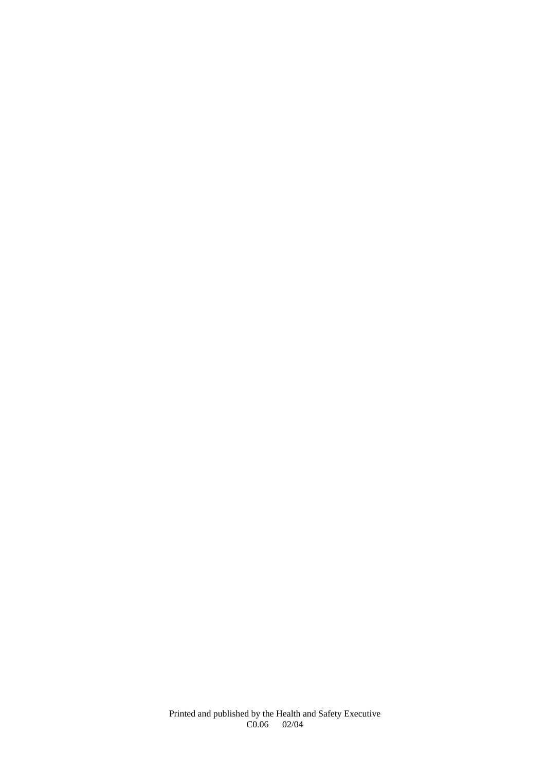Printed and published by the Health and Safety Executive C0.06 02/04